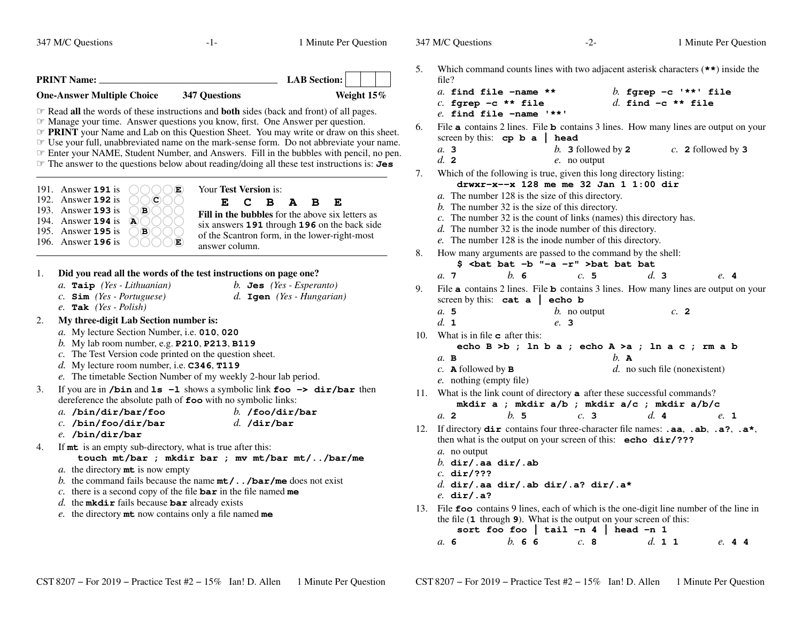347 M/C Questions $-1-$  1

Minute Per Question

347 M/C Questions

| <b>LAB</b> Section:<br><b>PRINT Name:</b>                                                                                                                                                                                                                                                                                                                                                                                                                                                                                                                                                                                                                                                                                                                                                                                                                                                                                                                                                       | Which command counts lines with two adjacent asterisk characters $(**)$ inside the<br>5.<br>file?                                                                                                                                                                                                                                                                                                                                                                                                                                                                                                                                                                                                                                                                                                                                                                                                |
|-------------------------------------------------------------------------------------------------------------------------------------------------------------------------------------------------------------------------------------------------------------------------------------------------------------------------------------------------------------------------------------------------------------------------------------------------------------------------------------------------------------------------------------------------------------------------------------------------------------------------------------------------------------------------------------------------------------------------------------------------------------------------------------------------------------------------------------------------------------------------------------------------------------------------------------------------------------------------------------------------|--------------------------------------------------------------------------------------------------------------------------------------------------------------------------------------------------------------------------------------------------------------------------------------------------------------------------------------------------------------------------------------------------------------------------------------------------------------------------------------------------------------------------------------------------------------------------------------------------------------------------------------------------------------------------------------------------------------------------------------------------------------------------------------------------------------------------------------------------------------------------------------------------|
| <b>One-Answer Multiple Choice</b><br><b>347 Questions</b><br>Weight 15%                                                                                                                                                                                                                                                                                                                                                                                                                                                                                                                                                                                                                                                                                                                                                                                                                                                                                                                         | a. find file -name **<br>b. fgrep $-c$ '**' file                                                                                                                                                                                                                                                                                                                                                                                                                                                                                                                                                                                                                                                                                                                                                                                                                                                 |
| $\mathcal F$ Read all the words of these instructions and <b>both</b> sides (back and front) of all pages.<br><b>Example 2</b> Manage your time. Answer questions you know, first. One Answer per question.<br><b>EXECUTE:</b> PRINT your Name and Lab on this Question Sheet. You may write or draw on this sheet.<br>☞ Use your full, unabbreviated name on the mark-sense form. Do not abbreviate your name.<br>Enter your NAME, Student Number, and Answers. Fill in the bubbles with pencil, no pen.<br>The answer to the questions below about reading/doing all these test instructions is: Jes                                                                                                                                                                                                                                                                                                                                                                                          | $c.$ fgrep -c ** file<br>d. find $-c$ ** file<br>e. find file $-\text{name}$ '**'<br>File <b>a</b> contains 2 lines. File <b>b</b> contains 3 lines. How many lines are output on your<br>6.<br>screen by this: $cp b a   head$<br>a.3<br>b. 3 followed by $2$<br>$c$ . 2 followed by 3<br>d. 2<br>$e$ . no output<br>Which of the following is true, given this long directory listing:<br>7.                                                                                                                                                                                                                                                                                                                                                                                                                                                                                                   |
| Your Test Version is:<br>191. Answer <b>191</b> is<br>Œ<br>192. Answer <b>192</b> is<br>C)<br>E<br>$\mathbf C$<br>$\mathbf{B}$<br>E<br>$\mathbf{A}$<br>B<br>193. Answer <b>193</b> is<br>$\left( \mathbf{B}\right)$<br>Fill in the bubbles for the above six letters as<br>194. Answer $194$ is<br>$\left( \mathbf{A}\right)$<br>six answers 191 through 196 on the back side<br>195. Answer <b>195</b> is<br>$\left( \mathbf{B}\right)$<br>of the Scantron form, in the lower-right-most<br>196. Answer <b>196</b> is<br>Œ<br>answer column.                                                                                                                                                                                                                                                                                                                                                                                                                                                   | drwxr-x--x 128 me me 32 Jan 1 1:00 dir<br>$a$ . The number 128 is the size of this directory.<br>$b$ . The number 32 is the size of this directory.<br>c. The number 32 is the count of links (names) this directory has.<br>$d$ . The number 32 is the inode number of this directory.<br>e. The number 128 is the inode number of this directory.<br>8.<br>How many arguments are passed to the command by the shell:                                                                                                                                                                                                                                                                                                                                                                                                                                                                          |
|                                                                                                                                                                                                                                                                                                                                                                                                                                                                                                                                                                                                                                                                                                                                                                                                                                                                                                                                                                                                 | \$ <bat "-a="" -b="" -r"="" bat="">bat bat bat</bat>                                                                                                                                                                                                                                                                                                                                                                                                                                                                                                                                                                                                                                                                                                                                                                                                                                             |
| Did you read all the words of the test instructions on page one?<br>1.<br>a. Taip (Yes - Lithuanian)<br>b. Jes $(Yes - Esperanto)$<br>$c.$ Sim (Yes - Portuguese)<br>$d.$ Igen (Yes - Hungarian)<br>e. Tak $(Yes - Polish)$                                                                                                                                                                                                                                                                                                                                                                                                                                                                                                                                                                                                                                                                                                                                                                     | $h$ 6<br>a. 7<br>c.5<br>d.3<br>e. 4<br>File a contains 2 lines. File b contains 3 lines. How many lines are output on your<br>9.<br>screen by this: $cat a   echo b$<br>a.5<br>$b$ . no output<br>c. 2                                                                                                                                                                                                                                                                                                                                                                                                                                                                                                                                                                                                                                                                                           |
| My three-digit Lab Section number is:<br>2.                                                                                                                                                                                                                                                                                                                                                                                                                                                                                                                                                                                                                                                                                                                                                                                                                                                                                                                                                     | d. 1<br>e. 3                                                                                                                                                                                                                                                                                                                                                                                                                                                                                                                                                                                                                                                                                                                                                                                                                                                                                     |
| a. My lecture Section Number, i.e. 010, 020<br>b. My lab room number, e.g. $P210$ , $P213$ , $B119$<br>c. The Test Version code printed on the question sheet.<br>$d.$ My lecture room number, i.e. $C346$ , T119<br>e. The timetable Section Number of my weekly 2-hour lab period.<br>If you are in /bin and $ls -1$ shows a symbolic link foo $\rightarrow$ dir/bar then<br>3.<br>dereference the absolute path of foo with no symbolic links:<br>a. /bin/dir/bar/foo<br>b. /foo/dir/bar<br>$c.$ /bin/foo/dir/bar<br>$d.$ /dir/bar<br>$e.$ /bin/dir/bar<br>If mt is an empty sub-directory, what is true after this:<br>4.<br>touch mt/bar ; mkdir bar ; mv mt/bar mt//bar/me<br><i>a</i> . the directory $m$ t is now empty<br>b. the command fails because the name $mt / / bar / me$ does not exist<br>c. there is a second copy of the file $bar$ in the file named me<br>$d.$ the mkdir fails because bar already exists<br>e. the directory $m$ t now contains only a file named $m$ e | What is in file $\bf{c}$ after this:<br>10.<br>echo B >b; ln b a ; echo A >a ; ln a c ; rm a b<br>$a.$ B<br>$b.$ A<br>$c$ . <b>A</b> followed by <b>B</b><br>$d.$ no such file (nonexistent)<br>e. nothing (empty file)<br>11. What is the link count of directory <b>a</b> after these successful commands?<br>mkdir a ; mkdir $a/b$ ; mkdir $a/c$ ; mkdir $a/b/c$<br>a. 2<br>h.5<br>c.3<br>d.4<br>e. 1<br>12. If directory dir contains four three-character file names: .aa, .ab, .a?, .a*,<br>then what is the output on your screen of this: echo dir/???<br>a. no output<br>b. dir/.aa dir/.ab<br>$c.$ dir/???<br>d. dir/.aa dir/.ab dir/.a? dir/.a*<br>e. $dir/ia?$<br>13. File <b>foo</b> contains 9 lines, each of which is the one-digit line number of the line in<br>the file $(1$ through $9)$ . What is the output on your screen of this:<br>sort foo foo   tail -n 4   head -n 1 |
|                                                                                                                                                                                                                                                                                                                                                                                                                                                                                                                                                                                                                                                                                                                                                                                                                                                                                                                                                                                                 | b. 66<br>d. 1 1<br>a. 6<br>c.8<br>e. 44                                                                                                                                                                                                                                                                                                                                                                                                                                                                                                                                                                                                                                                                                                                                                                                                                                                          |

- **dir/.aa dir/.ab dir/.a? dir/.a\***
- es, each of which is the one-digit line number of the line in What is the output on your screen of this:

**sort foo foo | tail -n 4 | head -n 1** $d. 1 1$ *b.* **<sup>6</sup> <sup>6</sup>** *c.* **<sup>8</sup>** *d.* **<sup>1</sup> <sup>1</sup>** *e.* **<sup>4</sup> <sup>4</sup>**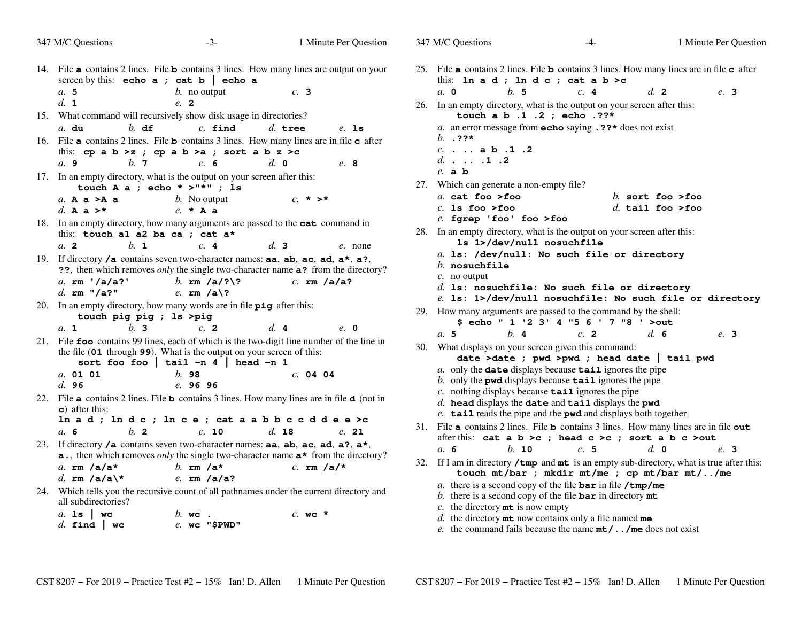| 347 M/C Questions                                            | $-3-$                                                                                                            | 1 Minute Per Question                                                                                                                                                                  | 347 M/C Questions                                                                                                                                                                            | $-4-$ |                                      | 1 Minute Per Question |
|--------------------------------------------------------------|------------------------------------------------------------------------------------------------------------------|----------------------------------------------------------------------------------------------------------------------------------------------------------------------------------------|----------------------------------------------------------------------------------------------------------------------------------------------------------------------------------------------|-------|--------------------------------------|-----------------------|
| a.5                                                          | screen by this: echo $a$ ; cat $b$   echo $a$<br>$b$ . no output                                                 | 14. File a contains 2 lines. File b contains 3 lines. How many lines are output on your<br>c. 3                                                                                        | 25. File a contains 2 lines. File b contains 3 lines. How many lines are in file c after<br>this: In $a d$ ; In $d c$ ; cat $a b > c$<br>b.5<br>$a$ , 0                                      | c.4   | d. 2                                 | e. 3                  |
| d. 1                                                         | e. 2                                                                                                             |                                                                                                                                                                                        | 26. In an empty directory, what is the output on your screen after this:                                                                                                                     |       |                                      |                       |
| $b.$ df<br>$a.$ du                                           | 15. What command will recursively show disk usage in directories?<br>$c.$ find                                   | $d.$ tree<br>$e.$ 1s                                                                                                                                                                   | touch a b .1 .2 ; echo . ??*<br>a. an error message from <b>echo</b> saying $\cdot$ ??* does not exist                                                                                       |       |                                      |                       |
| a.9<br>b.7                                                   | this: cp a b >z ; cp a b >a ; sort a b z >c<br>c. 6                                                              | 16. File <b>a</b> contains 2 lines. File <b>b</b> contains 3 lines. How many lines are in file <b>c</b> after<br>$d_{\cdot}$ 0<br>e. 8                                                 | b. $.22*$<br>$c.$ $a b.1.2$<br>$d. \ldots .1 .2$                                                                                                                                             |       |                                      |                       |
|                                                              | 17. In an empty directory, what is the output on your screen after this:<br>touch A a ; echo * >"*" ; 1s         |                                                                                                                                                                                        | $e$ . a $b$<br>27. Which can generate a non-empty file?                                                                                                                                      |       |                                      |                       |
| a. A $a > A$ a<br>d. A a $>^{\star}$                         | <i>b</i> . No output<br>$e. \star A$ a                                                                           | $c. * > *$                                                                                                                                                                             | a. cat foo >foo<br>$c.$ 1s foo >foo                                                                                                                                                          |       | b. sort foo >foo<br>d. tail foo >foo |                       |
| this: touch al a2 ba ca ; cat a*<br>a. 2<br>$h_{\mathbf{1}}$ | c.4                                                                                                              | 18. In an empty directory, how many arguments are passed to the cat command in<br>d.3<br>e. none                                                                                       | $e$ . fgrep 'foo' foo >foo<br>28. In an empty directory, what is the output on your screen after this:<br>1s 1>/dev/null nosuchfile                                                          |       |                                      |                       |
|                                                              |                                                                                                                  | 19. If directory /a contains seven two-character names: aa, ab, ac, ad, $a^*$ , a?,<br>??, then which removes <i>only</i> the single two-character name <b>a</b> ? from the directory? | a. 1s: /dev/null: No such file or directory<br>$b.$ nosuchfile                                                                                                                               |       |                                      |                       |
| a. $rm' /a/a?$<br>d. $rm$ "/a?"                              | b. $rm/a$ /?\?<br>e. $rm/a\$ ?                                                                                   | $c.$ rm $/a/a?$                                                                                                                                                                        | $c$ . no output<br>$d.$ ls: nosuchfile: No such file or directory<br>e. 1s: 1>/dev/null nosuchfile: No such file or directory                                                                |       |                                      |                       |
| touch pig pig ; ls >pig<br>h <sub>3</sub><br>a. 1            | 20. In an empty directory, how many words are in file $\pi$ ig after this:<br>c.2                                | d.4<br>$e$ . 0                                                                                                                                                                         | 29. How many arguments are passed to the command by the shell:<br>\$ echo " 1 '2 3' 4 "5 6 ' 7 "8 ' >out                                                                                     |       |                                      |                       |
|                                                              | the file (01 through 99). What is the output on your screen of this:<br>sort foo foo   tail $-n$ 4   head $-n$ 1 | 21. File foo contains 99 lines, each of which is the two-digit line number of the line in                                                                                              | b.4<br>a.5<br>30. What displays on your screen given this command:<br>date >date ; pwd >pwd ; head date   tail pwd                                                                           | c. 2  | d.6                                  | e. 3                  |
| a. 01 01<br>d.96                                             | b.98<br>e. 96 96                                                                                                 | c. 04 04                                                                                                                                                                               | $a$ . only the <b>date</b> displays because <b>tail</b> ignores the pipe<br>b. only the pwd displays because $\text{tail}$ ignores the pipe                                                  |       |                                      |                       |
| $\epsilon$ ) after this:                                     |                                                                                                                  | 22. File a contains 2 lines. File b contains 3 lines. How many lines are in file d (not in<br>In a d; In d c; In c e; cat a a b b c c d d e e >c                                       | c. nothing displays because $\text{tail}$ ignores the pipe<br>$d.$ head displays the date and tail displays the pwd<br>e. tail reads the pipe and the pwd and displays both together         |       |                                      |                       |
| $b$ . 2<br>a.6                                               | c. 10                                                                                                            | $d.$ 18<br>e. 21                                                                                                                                                                       | 31. File a contains 2 lines. File b contains 3 lines. How many lines are in file out                                                                                                         |       |                                      |                       |
|                                                              |                                                                                                                  | 23. If directory /a contains seven two-character names: aa, ab, ac, ad, a?, a*,<br>a., then which removes only the single two-character name $a^*$ from the directory?                 | after this: cat a b >c ; head c >c ; sort a b c >out<br>a. 6<br>b. 10                                                                                                                        | c.5   | $d. \, \mathbf{0}$                   | e. 3                  |
| a. $rm/a/a*$<br>d. rm /a/a\*                                 | b. $rm/a*$<br>e. $rm/a/a?$                                                                                       | c. $rm/a/*$                                                                                                                                                                            | 32. If I am in directory $\prime$ tmp and mt is an empty sub-directory, what is true after this:<br>touch mt/bar ; mkdir mt/me ; cp mt/bar mt//me                                            |       |                                      |                       |
| all subdirectories?                                          |                                                                                                                  | 24. Which tells you the recursive count of all pathnames under the current directory and                                                                                               | a. there is a second copy of the file $\bar{b}$ ar in file $/\text{tmp/me}$<br>b. there is a second copy of the file $bar{r}$ in directory $mt$<br>c. the directory $m\text{t}$ is now empty |       |                                      |                       |
| a. 1s   $wc$<br>$d.$ find $\vert$ wc                         | $b.$ wc.<br>$e.$ wc "\$PWD"                                                                                      | $c.$ wc $*$                                                                                                                                                                            | $d.$ the directory $m$ t now contains only a file named me<br>e. the command fails because the name $mt/$ /me does not exist                                                                 |       |                                      |                       |
|                                                              |                                                                                                                  |                                                                                                                                                                                        |                                                                                                                                                                                              |       |                                      |                       |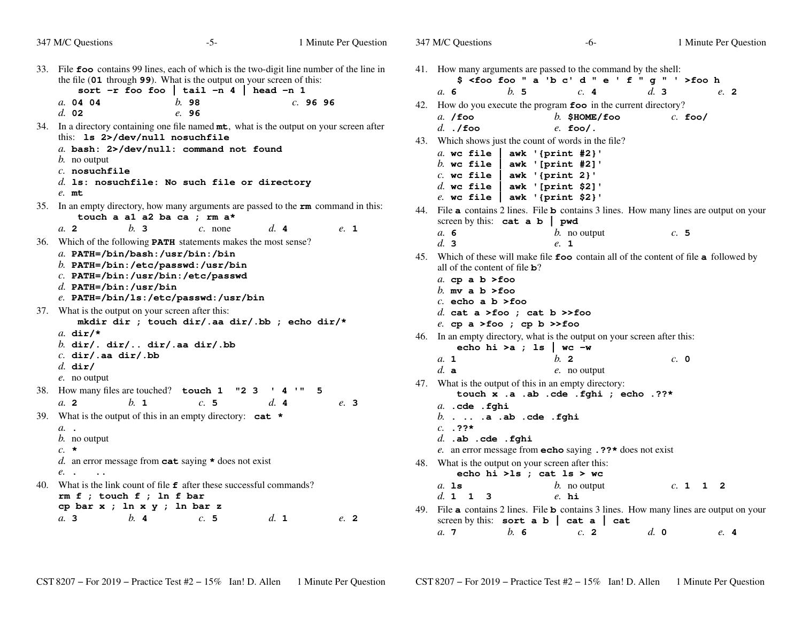|     | 347 M/C Questions                                                                                                                     | $-5-$                                                                                                                                                                                                        | 1 Minute Per Question |      | 347 M/C Questions                                                                                                                                                              |     | -6-                                                                               |     |                    |           | 1 Minute Per Question |
|-----|---------------------------------------------------------------------------------------------------------------------------------------|--------------------------------------------------------------------------------------------------------------------------------------------------------------------------------------------------------------|-----------------------|------|--------------------------------------------------------------------------------------------------------------------------------------------------------------------------------|-----|-----------------------------------------------------------------------------------|-----|--------------------|-----------|-----------------------|
|     |                                                                                                                                       | 33. File foo contains 99 lines, each of which is the two-digit line number of the line in<br>the file (01 through 99). What is the output on your screen of this:<br>sort -r foo foo   tail -n 4   head -n 1 |                       |      | 41. How many arguments are passed to the command by the shell:<br>a.6                                                                                                          | b.5 | \$ <foo "="" '="" 'b="" a="" c'="" d="" e="" f="" foo="" q="">foo h<br/>c.4</foo> |     | d.3                |           | e. 2                  |
|     | a. 04 04<br>$d.$ 02                                                                                                                   | b.98<br>e. 96                                                                                                                                                                                                | c.9696                |      | 42. How do you execute the program foo in the current directory?<br>$a.$ /foo                                                                                                  |     | $b.$ \$HOME/foo                                                                   |     |                    | $c.$ foo/ |                       |
|     | this: 1s 2>/dev/null nosuchfile                                                                                                       | 34. In a directory containing one file named mt, what is the output on your screen after                                                                                                                     |                       |      | $d.$ ./foo<br>43. Which shows just the count of words in the file?                                                                                                             |     | $e.$ foo/.                                                                        |     |                    |           |                       |
|     | $b$ . no output<br>$c.$ nosuchfile                                                                                                    | a. bash: 2>/dev/null: command not found                                                                                                                                                                      |                       |      | a. wc file<br>$b$ . wc file<br>$c.$ wc file                                                                                                                                    |     | awk '{print #2}'<br>awk '[print #2]'<br>awk '{ $print 2$ }'                       |     |                    |           |                       |
|     | $e$ . mt                                                                                                                              | $d.$ ls: nosuchfile: No such file or directory                                                                                                                                                               |                       |      | $d.$ wc file<br>$e$ . wc file $ $                                                                                                                                              |     | awk '[print \$2]'<br>awk '{print \$2}'                                            |     |                    |           |                       |
|     | touch a al a2 ba ca ; rm a*                                                                                                           | 35. In an empty directory, how many arguments are passed to the $\mathbf{r}\mathbf{m}$ command in this:                                                                                                      |                       |      | 44. File <b>a</b> contains 2 lines. File <b>b</b> contains 3 lines. How many lines are output on your<br>screen by this: $cat a b   pwd$                                       |     |                                                                                   |     |                    |           |                       |
|     | b.3<br>a. 2                                                                                                                           | $c.$ none<br>36. Which of the following <b>PATH</b> statements makes the most sense?                                                                                                                         | d.4                   | e. 1 | a. 6<br>d.3                                                                                                                                                                    |     | $b$ . no output<br>e. 1                                                           |     |                    | c.5       |                       |
|     | a. $PATH$ =/bin/bash:/usr/bin:/bin<br>b. PATH=/bin:/etc/passwd:/usr/bin<br>C. PATH=/bin:/usr/bin:/etc/passwd<br>d. PATH=/bin:/usr/bin | $e.$ PATH=/bin/ls:/etc/passwd:/usr/bin                                                                                                                                                                       |                       |      | 45. Which of these will make file foo contain all of the content of file a followed by<br>all of the content of file $\mathbf{b}$ ?<br>a. cp a $b > f$ oo<br>b. my a b $>$ foo |     |                                                                                   |     |                    |           |                       |
|     | 37. What is the output on your screen after this:                                                                                     | mkdir dir ; touch dir/.aa dir/.bb ; echo dir/*                                                                                                                                                               |                       |      | $c.$ echo a b >foo<br>d. cat a >foo ; cat b >>foo<br>e. cp a >foo ; cp b >>foo                                                                                                 |     |                                                                                   |     |                    |           |                       |
|     | a. $dir/*$<br>b. dir/. dir/ dir/.aa dir/.bb                                                                                           |                                                                                                                                                                                                              |                       |      | 46. In an empty directory, what is the output on your screen after this:                                                                                                       |     | echo hi >a ; 1s   wc -w                                                           |     |                    |           |                       |
|     | $c.$ dir/.aa dir/.bb<br>$d.$ dir/                                                                                                     |                                                                                                                                                                                                              |                       |      | a. 1<br>$d.$ a                                                                                                                                                                 |     | $h$ 2<br>$e$ . no output                                                          |     |                    | c. 0      |                       |
|     | $e$ . no output<br>38. How many files are touched? touch 1<br>b. 1<br>a. 2                                                            | "2"3"<br>c.5                                                                                                                                                                                                 | 141"5<br>d.4          | e. 3 | 47. What is the output of this in an empty directory:                                                                                                                          |     | touch x .a .ab .cde .fghi ; echo .??*                                             |     |                    |           |                       |
| 39. | a. .<br>$b$ . no output                                                                                                               | What is the output of this in an empty directory: $cat *$                                                                                                                                                    |                       |      | $a.$ . $cde$ . $fghi$<br>$b. \ldots .a$ .ab .cde .fghi<br>$c. 77*$<br>$d.$ .ab .cde .fghi                                                                                      |     |                                                                                   |     |                    |           |                       |
|     | $c. \star$<br>e. .<br>$\sim$ $\sim$                                                                                                   | d. an error message from $cat$ saying $\star$ does not exist                                                                                                                                                 |                       |      | e. an error message from <b>echo</b> saying $.$ ??* does not exist<br>48. What is the output on your screen after this:                                                        |     | echo hi >1s ; cat 1s > wc                                                         |     |                    |           |                       |
|     | $rm f$ ; touch $f$ ; ln $f$ bar                                                                                                       | 40. What is the link count of file $f$ after these successful commands?                                                                                                                                      |                       |      | $a.$ 1s<br>d. 1 1 3                                                                                                                                                            |     | $b$ . no output<br>$e.$ hi                                                        |     |                    | c. 1 1 2  |                       |
|     | cp bar x ; ln x y ; ln bar z<br>$h$ . 4<br>a. 3                                                                                       | c.5                                                                                                                                                                                                          | d. 1                  | e. 2 | 49. File <b>a</b> contains 2 lines. File <b>b</b> contains 3 lines. How many lines are output on your<br>screen by this: sort $a b \mid cat a \mid$                            |     |                                                                                   | cat |                    |           |                       |
|     |                                                                                                                                       |                                                                                                                                                                                                              |                       |      | a.7                                                                                                                                                                            | b.6 | c. 2                                                                              |     | $d. \; \mathbf{0}$ |           | e.4                   |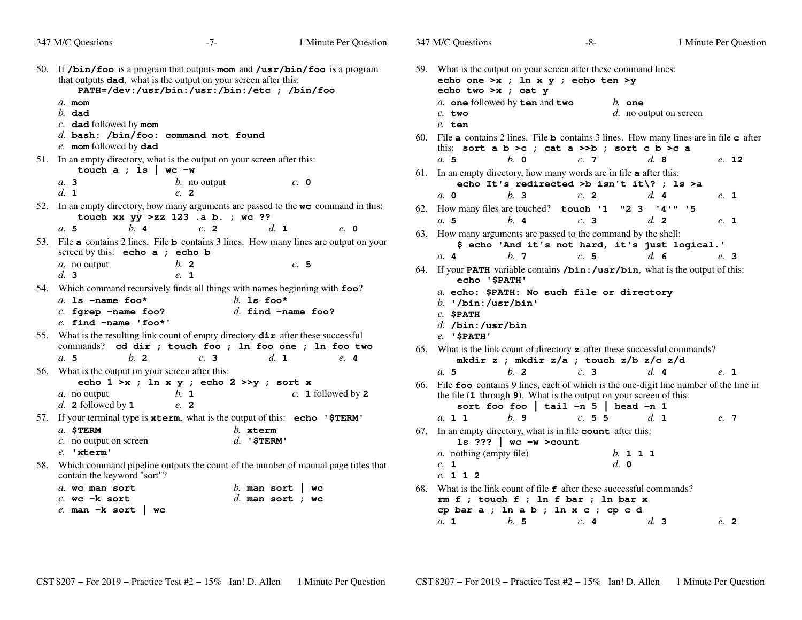| 347 M/C Questions                                                                                                                                                                   | $-7-$                                                              | 1 Minute Per Question                                                                                                 | 347 M/C Questions                                          |                                                           | -8-                                                                                                                                                         |                                      | 1 Minute Per Question                                                                                         |
|-------------------------------------------------------------------------------------------------------------------------------------------------------------------------------------|--------------------------------------------------------------------|-----------------------------------------------------------------------------------------------------------------------|------------------------------------------------------------|-----------------------------------------------------------|-------------------------------------------------------------------------------------------------------------------------------------------------------------|--------------------------------------|---------------------------------------------------------------------------------------------------------------|
| 50. If $/bin/foo$ is a program that outputs mom and $/usr/bin/foo$ is a program<br>that outputs <b>dad</b> , what is the output on your screen after this:<br>$a$ . mom<br>$b.$ dad | PATH=/dev:/usr/bin:/usr:/bin:/etc ; /bin/foo                       |                                                                                                                       | $c.$ two                                                   | echo two $>x$ ; cat $y$<br>a. one followed by ten and two | 59. What is the output on your screen after these command lines:<br>echo one >x ; ln x y ; echo ten >y                                                      | $b.$ one<br>$d.$ no output on screen |                                                                                                               |
| $c.$ dad followed by mom<br>$d.$ bash: /bin/foo: command not found                                                                                                                  |                                                                    |                                                                                                                       | $e$ . ten                                                  |                                                           |                                                                                                                                                             |                                      | 60. File <b>a</b> contains 2 lines. File <b>b</b> contains 3 lines. How many lines are in file <b>c</b> after |
| e. mom followed by dad                                                                                                                                                              |                                                                    |                                                                                                                       |                                                            |                                                           | this: sort a $b > c$ ; cat a $>> b$ ; sort c $b > c$ a                                                                                                      |                                      |                                                                                                               |
| 51. In an empty directory, what is the output on your screen after this:                                                                                                            |                                                                    |                                                                                                                       | a.5                                                        | $h$ . $\Omega$                                            | c.7                                                                                                                                                         | d.8                                  | $e.$ 12                                                                                                       |
| touch $a$ ; 1s   wc -w<br>a.3                                                                                                                                                       | $b$ . no output                                                    | c. 0                                                                                                                  |                                                            |                                                           | 61. In an empty directory, how many words are in file <b>a</b> after this:<br>echo It's redirected >b isn't it\? ; ls >a                                    |                                      |                                                                                                               |
| d. 1                                                                                                                                                                                | e. 2                                                               |                                                                                                                       | a. 0                                                       | b.3                                                       | $c$ . 2                                                                                                                                                     | d.4                                  | e. 1                                                                                                          |
|                                                                                                                                                                                     | touch xx $yy$ >zz 123 .a b.; wc ??                                 | 52. In an empty directory, how many arguments are passed to the <b>we</b> command in this:                            | a.5                                                        | $h$ . 4                                                   | 62. How many files are touched? touch '1 "2 3 '4'" '5<br>c. 3                                                                                               | d.2                                  | e. 1                                                                                                          |
| $h$ . 4<br>a.5                                                                                                                                                                      | c. 2                                                               | d. 1<br>e. 0<br>53. File <b>a</b> contains 2 lines. File <b>b</b> contains 3 lines. How many lines are output on your |                                                            |                                                           | 63. How many arguments are passed to the command by the shell:<br>\$ echo 'And it's not hard, it's just logical.'                                           |                                      |                                                                                                               |
| screen by this: $echo a$ ; $echo b$                                                                                                                                                 |                                                                    |                                                                                                                       | a.4                                                        | $b$ . 7                                                   | c.5                                                                                                                                                         | d.6                                  | e. 3                                                                                                          |
| $a$ . no output<br>d.3<br>54. Which command recursively finds all things with names beginning with foo?                                                                             | $b$ . 2<br>$e.$ 1                                                  | c.5                                                                                                                   | echo '\$PATH'                                              |                                                           | 64. If your <b>PATH</b> variable contains /bin:/usr/bin, what is the output of this:                                                                        |                                      |                                                                                                               |
| a. Is $-\text{name}$ foo*<br>$c.$ fgrep -name foo?<br>$e$ . find $-\text{name}$ 'foo*'                                                                                              | b. Is foo*                                                         | $d.$ find $-$ name foo?                                                                                               | b. $1$ /bin: /usr/bin'<br>$c.$ SPATH<br>$d.$ /bin:/usr/bin |                                                           | a. echo: \$PATH: No such file or directory                                                                                                                  |                                      |                                                                                                               |
| 55. What is the resulting link count of empty directory <b>dir</b> after these successful<br>commands? cd dir ; touch foo ; ln foo one ; ln foo two                                 |                                                                    |                                                                                                                       | $e.$ ' $$$ PATH'                                           |                                                           | 65. What is the link count of directory $\boldsymbol{z}$ after these successful commands?                                                                   |                                      |                                                                                                               |
| a.5<br>$b$ 2                                                                                                                                                                        | c.3                                                                | $d_{\mathbf{1}}$<br>e. 4                                                                                              |                                                            |                                                           | mkdir z ; mkdir z/a ; touch z/b z/c z/d                                                                                                                     |                                      |                                                                                                               |
| 56. What is the output on your screen after this:                                                                                                                                   |                                                                    |                                                                                                                       | a.5                                                        | $h$ 2                                                     | c.3                                                                                                                                                         | d. 4                                 | e. 1                                                                                                          |
| a. no output<br>d. 2 followed by $1$                                                                                                                                                | echo $1 \gt x$ ; ln x y; echo $2 \gt y$ ; sort x<br>$b.$ 1<br>e. 2 | $c. 1$ followed by 2                                                                                                  |                                                            |                                                           | the file (1 through 9). What is the output on your screen of this:<br>sort foo foo   tail -n $5$   head -n 1                                                |                                      | 66. File foo contains 9 lines, each of which is the one-digit line number of the line in                      |
| 57. If your terminal type is xterm, what is the output of this: echo '\$TERM'                                                                                                       |                                                                    |                                                                                                                       | a. 1 1                                                     | $h$ . 9                                                   | c. 5 5                                                                                                                                                      | d. 1                                 | e. 7                                                                                                          |
| $a.$ \$TERM<br>$c$ . no output on screen<br>e. 'xterm'                                                                                                                              | $b.$ xterm<br>$d.$ '\$TERM'                                        |                                                                                                                       | <i>a</i> . nothing (empty file)                            | 1s ???   $wc -w$ > count                                  | 67. In an empty directory, what is in file <b>count</b> after this:                                                                                         | <i>b</i> . 1 1 1                     |                                                                                                               |
| contain the keyword "sort"?                                                                                                                                                         |                                                                    | 58. Which command pipeline outputs the count of the number of manual page titles that                                 | c. 1<br>e. 1 1 2                                           |                                                           | d. 0                                                                                                                                                        |                                      |                                                                                                               |
| a. we man sort<br>$c.$ wc $-k$ sort<br>$e.$ man $-k$ sort  <br><b>WC</b>                                                                                                            |                                                                    | b. man sort $\vert$ wc<br>d. man sort ; wc                                                                            |                                                            |                                                           | 68. What is the link count of file $f$ after these successful commands?<br>$rm f$ ; touch $f$ ; ln $f$ bar; ln bar x<br>cp bar a ; ln a b ; ln x c ; cp c d |                                      |                                                                                                               |
|                                                                                                                                                                                     |                                                                    |                                                                                                                       | $a_{\mathbf{1}}$                                           | b.5                                                       | c.4                                                                                                                                                         | d.3                                  | $e^{2}$                                                                                                       |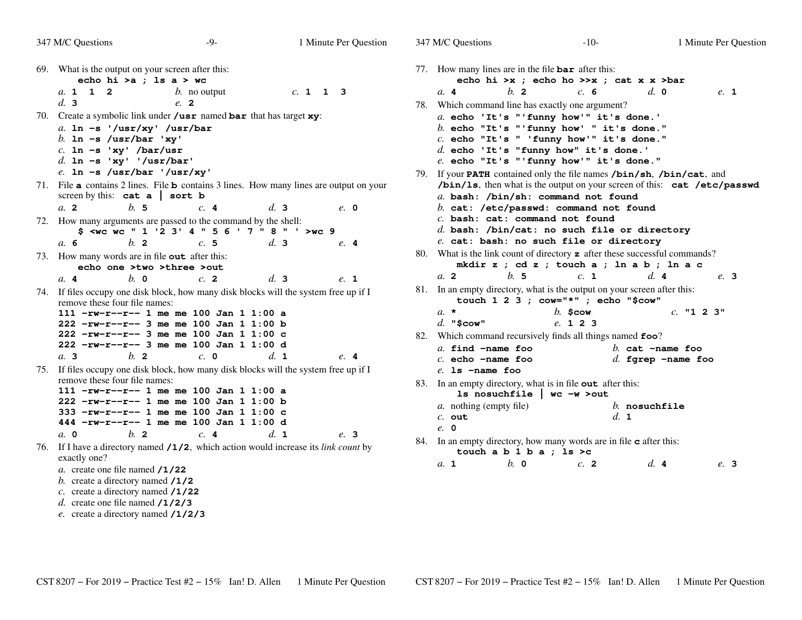| 347 M/C Questions                                                                                     | $-9-$                                                                      |          | 1 Minute Per Question | 347 M/C Questions                                                                 |                                                                  | $-10-$           |                             | 1 Minute Per Q |
|-------------------------------------------------------------------------------------------------------|----------------------------------------------------------------------------|----------|-----------------------|-----------------------------------------------------------------------------------|------------------------------------------------------------------|------------------|-----------------------------|----------------|
| 69. What is the output on your screen after this:<br>echo hi >a ; ls a > wc                           |                                                                            |          |                       | 77. How many lines are in the file $bar$ after this:                              | echo hi >x ; echo ho >>x ; cat x x >bar                          |                  |                             |                |
| a. 1 1 2                                                                                              | <i>b</i> . no output                                                       | c. 1 1 3 |                       | a. 4                                                                              | b.2                                                              | c. 6             | $d. \; \mathbf{0}$          | e. 1           |
| d.3                                                                                                   | e. 2                                                                       |          |                       | 78. Which command line has exactly one argument?                                  |                                                                  |                  |                             |                |
| 70. Create a symbolic link under $\theta$ usr named bar that has target xy:                           |                                                                            |          |                       | a. echo 'It's "'funny how'" it's done.'                                           |                                                                  |                  |                             |                |
| a. $ln -s$ '/usr/xy' /usr/bar                                                                         |                                                                            |          |                       | $b.$ echo "It's "'funny how' " it's done."                                        |                                                                  |                  |                             |                |
| b. In $-s$ /usr/bar 'xy'                                                                              |                                                                            |          |                       | $c.$ echo "It's " 'funny how'" it's done."                                        |                                                                  |                  |                             |                |
| $c.$ ln -s 'xy' /bar/usr                                                                              |                                                                            |          |                       | $d.$ echo 'It's "funny how" it's done.'                                           |                                                                  |                  |                             |                |
| d. $\ln -s$ 'xy' '/usr/bar'                                                                           |                                                                            |          |                       | e. echo "It's "'funny how'" it's done."                                           |                                                                  |                  |                             |                |
| $e.$ ln -s /usr/bar '/usr/xy'                                                                         |                                                                            |          |                       | 79. If your PATH contained only the file names /bin/sh, /bin/cat, and             |                                                                  |                  |                             |                |
| 71. File <b>a</b> contains 2 lines. File <b>b</b> contains 3 lines. How many lines are output on your |                                                                            |          |                       | /bin/1s, then what is the output on your screen of this: cat /etc/pa              |                                                                  |                  |                             |                |
| screen by this: $cat a   sort b$                                                                      |                                                                            |          |                       | a. bash: /bin/sh: command not found                                               |                                                                  |                  |                             |                |
| b.5<br>a <sub>2</sub>                                                                                 | c.4                                                                        | d.3      | $e$ , 0               | $b.$ cat: /etc/passwd: command not found                                          |                                                                  |                  |                             |                |
| 72. How many arguments are passed to the command by the shell:                                        |                                                                            |          |                       | $c.$ bash: cat: command not found                                                 |                                                                  |                  |                             |                |
|                                                                                                       | \$ <wc "="" '="" '2="" 1="" 3'="" 4="" 5="" 6="" 7="" 8="" wc="">wc 9</wc> |          |                       | $d.$ bash: /bin/cat: no such file or directory                                    |                                                                  |                  |                             |                |
| $b$ . 2<br>a. 6                                                                                       | c.5                                                                        | d.3      | e.4                   | e. cat: bash: no such file or directory                                           |                                                                  |                  |                             |                |
| 73. How many words are in file <b>out</b> after this:                                                 |                                                                            |          |                       | 80. What is the link count of directory <b>z</b> after these successful commands? | mkdir z ; cd z ; touch a ; ln a b ; ln a c                       |                  |                             |                |
| echo one >two >three >out                                                                             |                                                                            |          |                       | a. 2                                                                              | b.5                                                              | c. 1             | d.4                         | e. 3           |
| $b$ . $\theta$<br>a. 4                                                                                | c.2                                                                        | d.3      | e. 1                  |                                                                                   |                                                                  |                  |                             |                |
| 74. If files occupy one disk block, how many disk blocks will the system free up if I                 |                                                                            |          |                       | 81. In an empty directory, what is the output on your screen after this:          | touch 1 2 3 ; $\text{row}=" \times" " " " " " " " " " " " " " "$ |                  |                             |                |
| remove these four file names:<br>111 -rw-r--r-- 1 me me 100 Jan 1 1:00 a                              |                                                                            |          |                       | $a. \star$                                                                        | $b.$ \$cow                                                       |                  |                             | $c.$ "1 2 3"   |
| $222 - rw-r--7-3$ me me 100 Jan 1 1:00 b                                                              |                                                                            |          |                       | $d.$ "\$cow"                                                                      | e. 1 2 3                                                         |                  |                             |                |
| $222$ -rw-r--r-- 3 me me 100 Jan 1 1:00 c                                                             |                                                                            |          |                       | 82. Which command recursively finds all things named foo?                         |                                                                  |                  |                             |                |
| 222 -rw-r--r-- 3 me me 100 Jan 1 1:00 d                                                               |                                                                            |          |                       | $a.$ find $-\text{name}$ foo                                                      |                                                                  |                  | $b.$ cat $-\text{name}$ foo |                |
| b.2<br>a.3                                                                                            | $c. \; \mathbf{0}$                                                         | d. 1     | e.4                   | $c.$ echo $-\text{name}$ foo                                                      |                                                                  |                  | $d.$ fgrep $-$ name foo     |                |
| 75. If files occupy one disk block, how many disk blocks will the system free up if I                 |                                                                            |          |                       | $e$ . 1s $-\text{name}$ foo                                                       |                                                                  |                  |                             |                |
| remove these four file names:                                                                         |                                                                            |          |                       | 83. In an empty directory, what is in file out after this:                        |                                                                  |                  |                             |                |
| 111 $-rw-r--r--$ 1 me me 100 Jan 1 1:00 a                                                             |                                                                            |          |                       |                                                                                   | 1s nosuchfile $ $ wc $-w$ >out                                   |                  |                             |                |
| 222 -rw-r--r-- 1 me me 100 Jan 1 1:00 b                                                               |                                                                            |          |                       | <i>a</i> . nothing (empty file)                                                   |                                                                  |                  | $b.$ nosuchfile             |                |
| 333 -rw-r--r-- 1 me me 100 Jan 1 1:00 c<br>444 $-$ rw-r--r-- 1 me me 100 Jan 1 1:00 d                 |                                                                            |          |                       | $c.$ out                                                                          |                                                                  | $d_{\mathbf{1}}$ |                             |                |
| $b$ . 2                                                                                               |                                                                            | d. 1     |                       | e. 0                                                                              |                                                                  |                  |                             |                |
| $a. \, 0$                                                                                             | c.4                                                                        |          | e. 3                  | 84. In an empty directory, how many words are in file <b>c</b> after this:        |                                                                  |                  |                             |                |
| 76. If I have a directory named /1/2, which action would increase its link count by<br>exactly one?   |                                                                            |          |                       |                                                                                   | touch a $b 1 b a$ ; ls >c                                        |                  |                             |                |
| a. create one file named $/1/22$                                                                      |                                                                            |          |                       | a. 1                                                                              | $b$ . $\theta$                                                   | $c$ . 2          | d.4                         | e. 3           |
| b. create a directory named $/1/2$                                                                    |                                                                            |          |                       |                                                                                   |                                                                  |                  |                             |                |
| c. create a directory named $/1/22$                                                                   |                                                                            |          |                       |                                                                                   |                                                                  |                  |                             |                |
|                                                                                                       |                                                                            |          |                       |                                                                                   |                                                                  |                  |                             |                |

```

 echo "It's "'funny how' " it's done."
 echo "It's " 'funny how'" it's done."'unny how" it's done.'

 echo "It's "'funny how'" it's done."
 contained only the file names /bin/sh, /bin/cat, and
/bin/ls, then what is the output on your screen of this: cat /etc/passwd bash: /bin/sh: command not found
 cat: /etc/passwd: command not found bash: cat: command not found
 bash: /bin/cat: no such file or directorysuch file or directory

 is the link count of directory z after these successful commands?
                 z ; touch a ; ln a b ; ln a c
   b. 5 c. 1 d. 4 e. 3
                what is the output on your screen after this:
                touch 1 2 3 ; cow="*" ; echo "$cow" b. $cow c. "1 2 3"
                      e. 123
                sively finds all things named foo?
 find -name foo b. cat -name foo
 echo -name foo d. fgrep -name foo
 an empty directory, what is in file out after this:
                ls nosuchfile | wc -w >out nothing (empty file) b. nosuchfiled. 1
 an empty directory, how many words are in file c after this:
                b a ; ls >c
```
Minute Per Question

 *d.* create one file named **/1/2/3***e.* create a directory named **/1/2/3**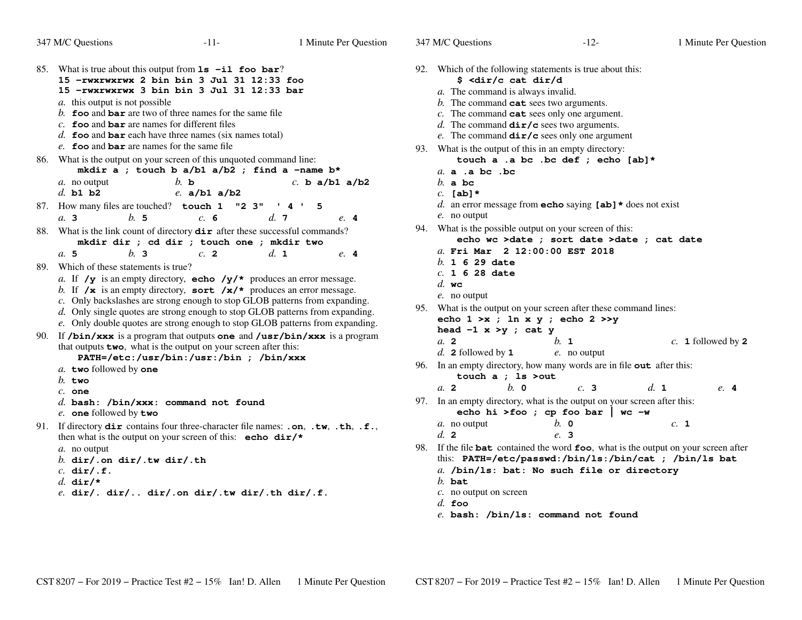347 M/C Questions

347 M/C Questions

85. What is true about this output from **ls -il foo bar**? **15 -rwxrwxrwx 2 bin bin 3 Jul 31 12:33 foo 15 -rwxrwxrwx 3 bin bin 3 Jul 31 12:33 bar***a.* this output is not possible *b.* **foo** and **bar** are two of three names for the same file *c.* **foo** and **bar** are names for different files *d.* **foo** and **bar** each have three names (six names total) *e.* **foo** and **bar** are names for the same file 86. What is the output on your screen of this unquoted command line: **mkdir a ; touch b a/b1 a/b2 ; find a -name b\*** *c.* **<sup>b</sup> a/b1 a/b2** *a.* no output *b.* **<sup>b</sup>***d.* **b1 b2** *e.* **a/b1 a/b2** 87. How many files are touched? **touch 1 "2 3" '4' 5** *a.* **3** *b.* **<sup>5</sup>** *c.* **<sup>6</sup>** *d.* **<sup>7</sup>** *e.* **<sup>4</sup>** 88. What is the link count of directory **dir** after these successful commands? **mkdir dir ; cd dir ; touch one ; mkdir two***a.* **5** *b.* **<sup>3</sup>** *c.* **<sup>2</sup>** *d.* **<sup>1</sup>** *e.* **<sup>4</sup>** 89. Which of these statements is true? *a.* If  $/y$  is an empty directory, **echo**  $/y/*$  produces an error message. *b.* If **/x** is an empty directory, **sort /x/\*** produces an error message. *c.* Only backslashes are strong enough to stop GLOB patterns from expanding. *d.* Only single quotes are strong enough to stop GLOB patterns from expanding. *e.* Only double quotes are strong enough to stop GLOB patterns from expanding. 90. If **/bin/xxx** is a program that outputs **one** and **/usr/bin/xxx** is a programthat outputs **two**, what is the output on your screen after this: **PATH=/etc:/usr/bin:/usr:/bin ; /bin/xxx***a.* **two** followed by **one** *b.* **two** *c.* **one** *d.* **bash: /bin/xxx: command not found***e.* **one** followed by **two** 91. If directory **dir** contains four three-character file names: **.on**, **.tw**, **.th**, **.f.**, then what is the output on your screen of this: **echo dir/\****a.* no output *b.* **dir/.on dir/.tw dir/.th***c.* **dir/.f.***d.* **dir/\***

*e.* **dir/. dir/.. dir/.on dir/.tw dir/.th dir/.f.**

|     | 92. Which of the following statements is true about this:                                      |
|-----|------------------------------------------------------------------------------------------------|
|     | \$ <dir c="" cat="" d<="" dir="" th=""></dir>                                                  |
|     | a. The command is always invalid.                                                              |
|     | b. The command $cat$ sees two arguments.                                                       |
|     | $c$ . The command $cat$ sees only one argument.                                                |
|     | d. The command $\text{dir}/\text{c}$ sees two arguments.                                       |
|     | e. The command $\text{dir}/c$ sees only one argument                                           |
| 93. | What is the output of this in an empty directory:                                              |
|     | touch a .a bc .bc def ; echo [ab]*                                                             |
|     | a. a. a. bc. bc                                                                                |
|     | $b$ . a bc                                                                                     |
|     | $c.$ [ab] $*$                                                                                  |
|     | d. an error message from <b>echo</b> saying $[a\mathbf{b}]$ * does not exist                   |
|     | e. no output                                                                                   |
|     | 94. What is the possible output on your screen of this:                                        |
|     | echo wc >date ; sort date >date ; cat date                                                     |
|     | a. Fri Mar 2 12:00:00 EST 2018<br>$b. 1629$ date                                               |
|     | $c. 1628$ date                                                                                 |
|     | $d.$ wc                                                                                        |
|     | $e$ . no output                                                                                |
|     | 95. What is the output on your screen after these command lines:                               |
|     | echo $1 \gt x$ ; $\ln x$ y; echo $2 \gt y$                                                     |
|     | head $-1 x > y$ ; cat y                                                                        |
|     | $a$ 2<br>b. 1<br>c. 1 followed by $2$                                                          |
|     | d. 2 followed by $1$<br>e. no output                                                           |
| 96. | In an empty directory, how many words are in file out after this:                              |
|     | touch a ; 1s >out                                                                              |
|     | d. 1<br>$h$ . $\Omega$<br>a <sub>2</sub><br>c.3<br>e. 4                                        |
| 97. | In an empty directory, what is the output on your screen after this:                           |
|     | echo hi >foo ; cp foo bar   wc -w                                                              |
|     | $h$ . $\mathbf{0}$<br>c. 1<br>a. no output                                                     |
|     | $d_{\alpha}$ 2<br>e. 3                                                                         |
| 98. | If the file <b>bat</b> contained the word <b>foo</b> , what is the output on your screen after |
|     | this: PATH=/etc/passwd:/bin/ls:/bin/cat ; /bin/ls bat                                          |
|     | a. /bin/ls: bat: No such file or directory                                                     |
|     | $b.$ bat                                                                                       |
|     | $c$ . no output on screen                                                                      |
|     | $d.$ foo                                                                                       |

*e.* **bash: /bin/ls: command not found**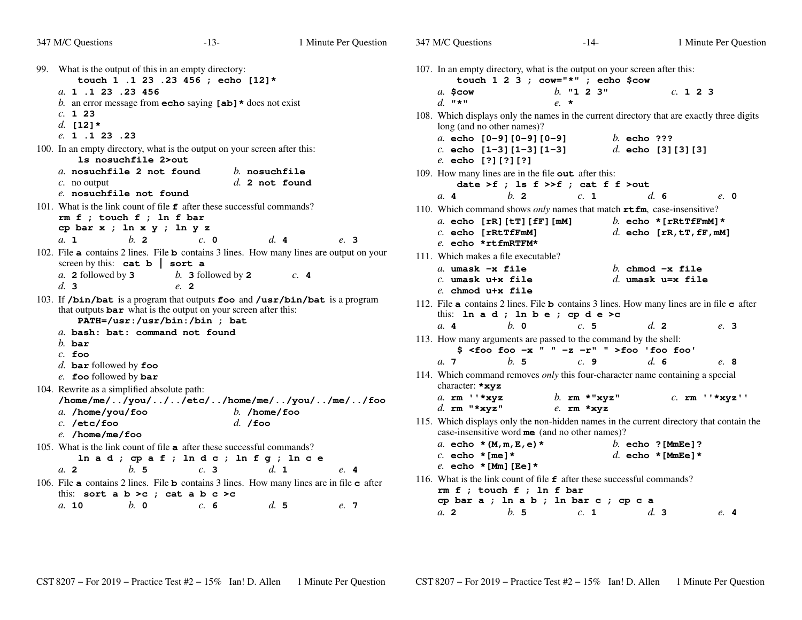| 347 M/C Questions                                                                                                                                                               | $-13-$                                                                                                 | 1 Minute Per Question                                                                           | 347 M/C Questions                                                                                     | $-14-$                                                                                                                                                                        | 1 Minute Per Question                                                  |
|---------------------------------------------------------------------------------------------------------------------------------------------------------------------------------|--------------------------------------------------------------------------------------------------------|-------------------------------------------------------------------------------------------------|-------------------------------------------------------------------------------------------------------|-------------------------------------------------------------------------------------------------------------------------------------------------------------------------------|------------------------------------------------------------------------|
| What is the output of this in an empty directory:<br>99.                                                                                                                        | touch 1 .1 23 .23 456 ; echo [12]*                                                                     |                                                                                                 |                                                                                                       | 107. In an empty directory, what is the output on your screen after this:<br>touch $1 \t2 \t3$ ; cow="*"; echo \$cow                                                          |                                                                        |
| a. 1 .1 23 .23 456                                                                                                                                                              | b. an error message from <b>echo</b> saying $[a\mathbf{b}]$ * does not exist                           |                                                                                                 | $a.$ Scow<br>d. $\mathbf{w} \star \mathbf{w}$                                                         | $b.$ "1 2 3"<br>$e^*$                                                                                                                                                         | c. 123                                                                 |
| c. 123<br>d. $[12]$ *                                                                                                                                                           |                                                                                                        |                                                                                                 | long (and no other names)?                                                                            | 108. Which displays only the names in the current directory that are exactly three digits                                                                                     |                                                                        |
| e. 1 .1 23 .23<br>100. In an empty directory, what is the output on your screen after this:<br>1s nosuchfile 2>out                                                              |                                                                                                        |                                                                                                 | a. echo $[0-9][0-9][0-9]$<br>c. echo $[1-3][1-3][1-3]$<br>e. echo [?][?][?]                           | $b.$ echo ???                                                                                                                                                                 | d. echo $[3][3][3]$                                                    |
| a. nosuchfile 2 not found<br>$c$ . no output<br>e. nosuchfile not found                                                                                                         |                                                                                                        | $b.$ nosuchfile<br>$d.$ 2 not found                                                             | 109. How many lines are in the file out after this:                                                   | date >f ; ls $f \n>> f$ ; cat $f f$ >out                                                                                                                                      |                                                                        |
| 101. What is the link count of file $\epsilon$ after these successful commands?<br>$rm f$ ; touch $f$ ; ln $f$ bar<br>cp bar $x$ ; $\ln x$ $y$ ; $\ln y$ $z$<br>$b$ . 2<br>a. 1 | $c. \quad 0$                                                                                           | $d.$ 4<br>e. 3                                                                                  | b.2<br>a. 4<br>a. echo $[rR][tT][fF][mM]$<br>$c.$ echo [ $rRtTffmM$ ]<br>$e$ . echo *rtfmRTFM*        | c. 1<br>110. Which command shows only names that match $rtfm$ , case-insensitive?                                                                                             | d.6<br>e. 0<br>b. echo * [rRtTfFmM] *<br>$d.$ echo [rR, $tT$ , fF, mM] |
| screen by this: $cat b   sort a$<br>a. 2 followed by $3$<br>d.3                                                                                                                 | b. 3 followed by $2$<br>$e$ , 2                                                                        | 102. File a contains 2 lines. File b contains 3 lines. How many lines are output on your<br>c.4 | 111. Which makes a file executable?<br>a. umask $-x$ file<br>$c.$ umask u+x file<br>e. chmod u+x file |                                                                                                                                                                               | b. chmod $-x$ file<br>d. umask u=x file                                |
|                                                                                                                                                                                 | that outputs <b>bar</b> what is the output on your screen after this:<br>PATH=/usr:/usr/bin:/bin ; bat | 103. If /bin/bat is a program that outputs foo and /usr/bin/bat is a program                    |                                                                                                       | 112. File a contains 2 lines. File <b>b</b> contains 3 lines. How many lines are in file $\sigma$ after<br>this: $\ln a d$ ; $\ln b e$ ; $\operatorname{cp} d e > c$          |                                                                        |
| a. bash: bat: command not found<br>$b.$ bar<br>$c.$ foo                                                                                                                         |                                                                                                        |                                                                                                 | a. 4<br>$b. \, o$                                                                                     | c.5<br>113. How many arguments are passed to the command by the shell:<br>$$ <$ foo foo -x " " -z -r" " >foo 'foo foo'                                                        | d. 2<br>e. 3                                                           |
| $d.$ bar followed by foo<br>e. foo followed by bar                                                                                                                              |                                                                                                        |                                                                                                 | b.5<br>a.7                                                                                            | c.9<br>114. Which command removes only this four-character name containing a special                                                                                          | d.6<br>e. 8                                                            |
| 104. Rewrite as a simplified absolute path:<br>a. /home/you/foo<br>$c.$ /etc/foo<br>$e.$ /home/me/foo                                                                           | $d.$ /foo                                                                                              | /home/me//you///etc//home/me//you//me//foo<br>$b.$ /home/foo                                    | character: *xyz<br>a. $rm$ $\cdot$ $*xyz$<br>d. rm $"*xyz"$                                           | b. $rm * "xyz"$<br>$e$ . rm *xyz<br>115. Which displays only the non-hidden names in the current directory that contain the<br>case-insensitive word me (and no other names)? | $c.$ rm $'$ *xyz''                                                     |
| 105. What is the link count of file <b>a</b> after these successful commands?<br>a. 2<br>b.5                                                                                    | $\ln a d$ ; $\cosh f$ ; $\ln d c$ ; $\ln f g$ ; $\ln c e$<br>c.3                                       | d. 1<br>e. 4                                                                                    | a. echo $*(M, m, E, e)$ *<br>$c.$ echo * [me] *<br>e. echo * [Mm] [Ee] *                              |                                                                                                                                                                               | b. echo $?$ [MmEe]?<br>d. echo * [MmEe] *                              |
| this: sort a $b > c$ ; cat a $b c > c$                                                                                                                                          |                                                                                                        | 106. File a contains 2 lines. File b contains 3 lines. How many lines are in file c after       | $rm f$ ; touch $f$ ; ln $f$ bar                                                                       | 116. What is the link count of file $f$ after these successful commands?<br>cp bar a ; ln a b ; ln bar c ; cp c a                                                             |                                                                        |
| b. 0<br>a. 10                                                                                                                                                                   | c. 6                                                                                                   | d.5<br>e. 7                                                                                     | a. 2<br>b.5                                                                                           | c. 1                                                                                                                                                                          | d.3<br>e.4                                                             |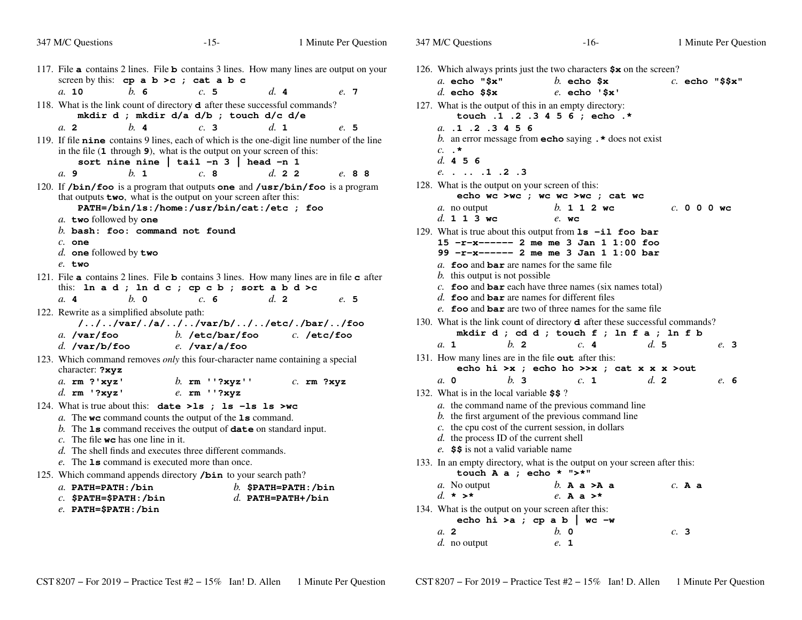| 347 M/C Questions                                                                                                                                                                            | $-15-$                                            |                       | 1 Minute Per Question |
|----------------------------------------------------------------------------------------------------------------------------------------------------------------------------------------------|---------------------------------------------------|-----------------------|-----------------------|
| 117. File a contains 2 lines. File b contains 3 lines. How many lines are output on your<br>screen by this: cp a $b > c$ ; cat a $b c$                                                       |                                                   |                       |                       |
| $h_{\alpha}$ 6<br>a. 10                                                                                                                                                                      | c.5                                               | $d_{\mathbf{r}}$ 4    | e. 7                  |
| 118. What is the link count of directory <b>d</b> after these successful commands?                                                                                                           | mkdir d ; mkdir d/a d/b ; touch d/c d/e           |                       |                       |
| $h$ 4<br>a <sub>2</sub>                                                                                                                                                                      | c.3                                               | $d_{\mathbf{1}}$      | e. 5                  |
| 119. If file nine contains 9 lines, each of which is the one-digit line number of the line<br>in the file (1 through 9), what is the output on your screen of this:<br>a. 9<br>$h_{\cdot}$ 1 | sort nine nine   tail -n $3$   head -n $1$<br>c.8 | d. 22                 | e. 88                 |
|                                                                                                                                                                                              |                                                   |                       |                       |
| 120. If $/$ bin $/$ foo is a program that outputs one and $/$ usr $/$ bin $/$ foo is a program<br>that outputs two, what is the output on your screen after this:<br>a. two followed by one  | PATH=/bin/ls:/home:/usr/bin/cat:/etc ; foo        |                       |                       |
| $b.$ bash: foo: command not found                                                                                                                                                            |                                                   |                       |                       |
| $c.$ one                                                                                                                                                                                     |                                                   |                       |                       |
| d. one followed by two                                                                                                                                                                       |                                                   |                       |                       |
| $e$ . two                                                                                                                                                                                    |                                                   |                       |                       |
| 121. File <b>a</b> contains 2 lines. File <b>b</b> contains 3 lines. How many lines are in file <b>c</b> after                                                                               |                                                   |                       |                       |
| this: ln a d; ln d c; cp c b; sort a b d >c<br>a.4<br>$h$ . 0                                                                                                                                | c. 6                                              | $d_{\mathbf{z}}$ 2    |                       |
|                                                                                                                                                                                              |                                                   |                       | e. 5                  |
| 122. Rewrite as a simplified absolute path:                                                                                                                                                  | ///var/./a///var/b///etc/./bar//foo               |                       |                       |
| $a.$ /var/foo                                                                                                                                                                                | b. /etc/bar/foo                                   | $c.$ /etc/foo         |                       |
| $d.$ /var/b/foo                                                                                                                                                                              | $e.$ /var/a/foo                                   |                       |                       |
| 123. Which command removes only this four-character name containing a special<br>character: ?xyz                                                                                             |                                                   |                       |                       |
| a. rm ?'xyz'                                                                                                                                                                                 | b. $rm$ $'$ ?xyz''                                | $c.$ rm ?xyz          |                       |
| $d.$ rm '?xyz'                                                                                                                                                                               | e. rm ''?xyz                                      |                       |                       |
| 124. What is true about this: date >1s ; 1s -1s 1s >wc                                                                                                                                       |                                                   |                       |                       |
| a. The we command counts the output of the 1s command.                                                                                                                                       |                                                   |                       |                       |
| b. The $ls$ command receives the output of $date$ on standard input.                                                                                                                         |                                                   |                       |                       |
| c. The file <b>wc</b> has one line in it.<br>d. The shell finds and executes three different commands.                                                                                       |                                                   |                       |                       |
| e. The <b>1s</b> command is executed more than once.                                                                                                                                         |                                                   |                       |                       |
| 125. Which command appends directory /bin to your search path?                                                                                                                               |                                                   |                       |                       |
| $a.$ PATH=PATH:/bin                                                                                                                                                                          |                                                   | b. $$$ PATH=PATH:/bin |                       |
| $c.$ \$PATH=\$PATH:/bin                                                                                                                                                                      |                                                   | $d.$ PATH=PATH+/bin   |                       |
| $e.$ PATH= $$$ PATH:/bin                                                                                                                                                                     |                                                   |                       |                       |
|                                                                                                                                                                                              |                                                   |                       |                       |

|                  | $b$ . this output is not possible                                                      |         |                  |         |              |  |                    |          |                       |  |
|------------------|----------------------------------------------------------------------------------------|---------|------------------|---------|--------------|--|--------------------|----------|-----------------------|--|
|                  | c. foo and $bar$ each have three names (six names total)                               |         |                  |         |              |  |                    |          |                       |  |
|                  | d. <b>foo</b> and <b>bar</b> are names for different files                             |         |                  |         |              |  |                    |          |                       |  |
|                  | e. foo and bar are two of three names for the same file                                |         |                  |         |              |  |                    |          |                       |  |
|                  | 130. What is the link count of directory <b>d</b> after these successful commands?     |         |                  |         |              |  |                    |          |                       |  |
|                  | mkdir d; cd d; touch f; ln f a; ln f b                                                 |         |                  |         |              |  |                    |          |                       |  |
| $a_{\mathbf{1}}$ |                                                                                        | $h_{2}$ |                  |         | c.4          |  | d.5                |          | e. 3                  |  |
|                  | 131. How many lines are in the file <b>out</b> after this:                             |         |                  |         |              |  |                    |          |                       |  |
|                  | echo hi >x; echo ho >>x; cat x x x >out                                                |         |                  |         |              |  |                    |          |                       |  |
| $a_{\rm}$ 0      |                                                                                        | $h$ 3   |                  |         | c. 1         |  | $d_{\mathbf{z}}$ 2 |          | e. 6                  |  |
|                  | 132. What is in the local variable \$\$?                                               |         |                  |         |              |  |                    |          |                       |  |
|                  | a. the command name of the previous command line                                       |         |                  |         |              |  |                    |          |                       |  |
|                  | b. the first argument of the previous command line                                     |         |                  |         |              |  |                    |          |                       |  |
|                  | $c$ . the cpu cost of the current session, in dollars                                  |         |                  |         |              |  |                    |          |                       |  |
|                  | d. the process ID of the current shell                                                 |         |                  |         |              |  |                    |          |                       |  |
|                  | e. \$\$ is not a valid variable name                                                   |         |                  |         |              |  |                    |          |                       |  |
|                  | 133. In an empty directory, what is the output on your screen after this:              |         |                  |         |              |  |                    |          |                       |  |
|                  | touch A a ; echo * $"$ >*"                                                             |         |                  |         |              |  |                    |          |                       |  |
|                  | a. No output                                                                           |         | $b.$ A a $>$ A a |         |              |  |                    | $c.$ A a |                       |  |
|                  | $d \star \rightarrow \star$                                                            |         |                  |         | e. A a $>^*$ |  |                    |          |                       |  |
|                  | 134. What is the output on your screen after this:                                     |         |                  |         |              |  |                    |          |                       |  |
|                  | echo hi >a ; cp a b   wc -w                                                            |         |                  |         |              |  |                    |          |                       |  |
| $a$ , 2          |                                                                                        |         |                  | $h$ . 0 |              |  |                    | c.3      |                       |  |
|                  | d. no output                                                                           |         |                  | e. 1    |              |  |                    |          |                       |  |
|                  |                                                                                        |         |                  |         |              |  |                    |          |                       |  |
|                  |                                                                                        |         |                  |         |              |  |                    |          |                       |  |
|                  |                                                                                        |         |                  |         |              |  |                    |          |                       |  |
|                  | $\text{CST } 8207 - \text{For } 2019 - \text{Practice Test } \#2 - 15\%$ Ian! D. Allen |         |                  |         |              |  |                    |          | 1 Minute Per Question |  |
|                  |                                                                                        |         |                  |         |              |  |                    |          |                       |  |

s  $-16-$  1

*e.* **echo '\$x'**

*b.* **112wc**

*e.* **wc**

*b.* **echo \$x** *c.* **echo "\$\$x"**

126. Which always prints just the two characters **\$x** on the screen?

**touch .1 .2 .3 4 5 6 ; echo .\***

*b.* an error message from **echo** saying **.\*** does not exist

**echo wc >wc ; wc wc >wc ; cat wc**

129. What is true about this output from **ls -il foo bar 15 -r-x------ 2 me me 3 Jan 1 1:00 foo99 -r-x------ 2 me me 3 Jan 1 1:00 bar**

*a.* **foo** and **bar** are names for the same file

127. What is the output of this in an empty directory:

Minute Per Question

*c.* **000wc**

347 M/C Questions

*c.* **.\****d.* **456**

*a.* no output

*d.* **113wc**

*a.* **echo "\$x"**

*a.* **.1 .2 .3 4 5 6**

*e.* **. .. .1 .2 .3**

128. What is the output on your screen of this:

*d.* **echo \$\$x**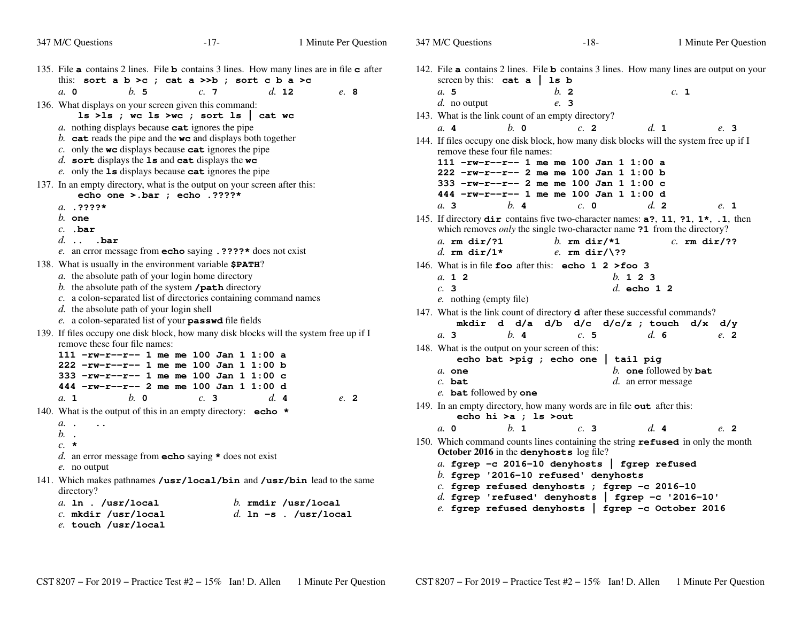| 347 M/C Questions                                                                                                                                                                                                                                                                                                                                                                                                       | $-17-$ | 1 Minute Per Question                       | 347 M/C Questions                                                                                                                                                                                                                                                                                                                                                                 | $-18-$                                 |                                                        | 1 Minute Per Question |
|-------------------------------------------------------------------------------------------------------------------------------------------------------------------------------------------------------------------------------------------------------------------------------------------------------------------------------------------------------------------------------------------------------------------------|--------|---------------------------------------------|-----------------------------------------------------------------------------------------------------------------------------------------------------------------------------------------------------------------------------------------------------------------------------------------------------------------------------------------------------------------------------------|----------------------------------------|--------------------------------------------------------|-----------------------|
| 135. File <b>a</b> contains 2 lines. File <b>b</b> contains 3 lines. How many lines are in file <b>c</b> after<br>this: sort a b >c ; cat a >>b ; sort c b a >c                                                                                                                                                                                                                                                         |        |                                             | 142. File <b>a</b> contains 2 lines. File <b>b</b> contains 3 lines. How many lines are output on your<br>screen by this: $cat a   ls b$                                                                                                                                                                                                                                          |                                        |                                                        |                       |
| $a. \, 0$<br>b.5<br>136. What displays on your screen given this command:<br>1s >1s; we 1s >we; sort 1s $\vert$ cat we                                                                                                                                                                                                                                                                                                  | c.7    | $d.$ 12<br>e. 8                             | a.5<br>$d.$ no output<br>143. What is the link count of an empty directory?                                                                                                                                                                                                                                                                                                       | $b$ . 2<br>e. 3                        | c. 1                                                   |                       |
| a. nothing displays because cat ignores the pipe<br>b. cat reads the pipe and the $wc$ and displays both together<br>c. only the $wc$ displays because $cat$ ignores the pipe<br>$d.$ sort displays the 1s and cat displays the wc<br>e. only the $ls$ displays because cat ignores the pipe<br>137. In an empty directory, what is the output on your screen after this:<br>echo one >.bar ; echo .????*<br>$a. 2222*$ |        |                                             | $b. \circ$<br>a.4<br>144. If files occupy one disk block, how many disk blocks will the system free up if I<br>remove these four file names:<br>111 $-rw-r-r-1$ me me 100 Jan 1 1:00 a<br>$222$ -rw-r--r-- 2 me me 100 Jan 1 1:00 b<br>333 -rw-r--r-- 2 me me 100 Jan 1 1:00 c<br>444 -rw-r--r-- 1 me me 100 Jan 1 1:00 d<br>b.4<br>a.3                                           | c. 2<br>$c. \; \mathbf{0}$             | d. 1<br>d. 2                                           | e. 3<br>e. 1          |
| $b.$ one<br>$c.$ .bar<br>$d.$ $bar$<br>e. an error message from <b>echo</b> saying $.$ ????* does not exist                                                                                                                                                                                                                                                                                                             |        |                                             | 145. If directory dir contains five two-character names: a?, 11, ?1, 1 <sup>*</sup> , .1, then<br>which removes only the single two-character name ?1 from the directory?<br>a. $rm \ dir/$ ?1<br>d. rm $dir/1*$                                                                                                                                                                  | b. rm $\text{dir}/*1$<br>e. rm dir/\?? |                                                        | $c.$ rm dir/??        |
| 138. What is usually in the environment variable \$PATH?<br>a. the absolute path of your login home directory<br>b. the absolute path of the system / $path$ directory<br>c. a colon-separated list of directories containing command names<br>$d.$ the absolute path of your login shell<br>e. a colon-separated list of your passwd file fields                                                                       |        |                                             | 146. What is in file foo after this: echo 1 2 > foo 3<br>a. 12<br>c.3<br>e. nothing (empty file)<br>147. What is the link count of directory <b>d</b> after these successful commands?                                                                                                                                                                                            |                                        | b. 1 2 3<br>$d.$ echo 1 2                              |                       |
| 139. If files occupy one disk block, how many disk blocks will the system free up if I<br>remove these four file names:<br>111 $-rw-r-r-1$ me me 100 Jan 1 1:00 a<br>$222$ -rw-r--r-- 1 me me 100 Jan 1 1:00 b<br>333 -rw-r--r-- 1 me me 100 Jan 1 1:00 c<br>444 -rw-r--r-- 2 me me 100 Jan 1 1:00 d<br>$b. \circ$<br>a. 1                                                                                              | c.3    | d.4<br>e. 2                                 | mkdir d d/a d/b d/c d/c/z ; touch d/x d/y<br>$h$ . 4<br>a.3<br>148. What is the output on your screen of this:<br>echo bat >pig ; echo one   tail pig<br>$a.$ one<br>$c.$ bat<br>e. bat followed by one                                                                                                                                                                           | c.5                                    | d.6<br>$b.$ one followed by bat<br>d. an error message | e. 2                  |
| 140. What is the output of this in an empty directory: $\text{echo}$ *<br>a. .<br>$\ddotsc$<br>$b.$ .                                                                                                                                                                                                                                                                                                                   |        |                                             | 149. In an empty directory, how many words are in file out after this:<br>echo hi >a ; ls >out<br>b. 1<br>$a. \, 0$                                                                                                                                                                                                                                                               | c.3                                    | d.4                                                    | e. 2                  |
| $c. *$<br>d. an error message from <b>echo</b> saying $\star$ does not exist<br>e. no output<br>141. Which makes pathnames /usr/local/bin and /usr/bin lead to the same<br>directory?<br>a. $\ln$ . /usr/local<br>$c.$ mkdir /usr/local<br>e. touch /usr/local                                                                                                                                                          |        | b. rmdir /usr/local<br>d. 1n -s. /usr/local | 150. Which command counts lines containing the string refused in only the month<br>October 2016 in the denyhosts log file?<br>a. fgrep -c 2016-10 denyhosts   fgrep refused<br>b. fgrep '2016-10 refused' denyhosts<br>c. fgrep refused denyhosts ; fgrep -c 2016-10<br>d. fgrep 'refused' denyhosts   fgrep $-c$ '2016-10'<br>e. fgrep refused denyhosts   fgrep -c October 2016 |                                        |                                                        |                       |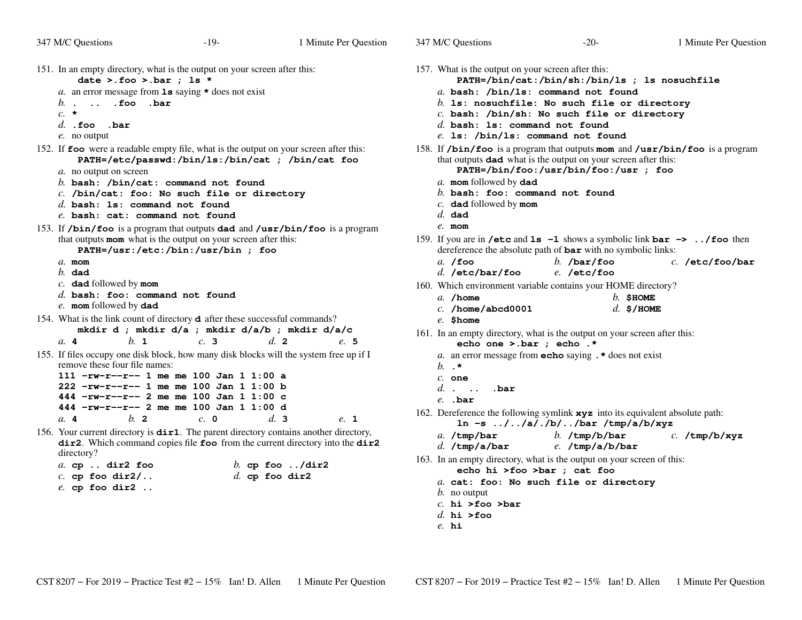347 M/C Questions

| 151. In an empty directory, what is the output on your screen after this:<br>date >.foo >.bar ; 1s *                                                                                                                                                                                                                                  |                                        |      | 157. What is the<br><b>PATH=</b>                                                                      |
|---------------------------------------------------------------------------------------------------------------------------------------------------------------------------------------------------------------------------------------------------------------------------------------------------------------------------------------|----------------------------------------|------|-------------------------------------------------------------------------------------------------------|
| a. an error message from $1s$ saying $\star$ does not exist<br>.  .foo .bar<br>b.<br>$c. \star$<br>$d.$ . foo<br>.bar<br>e. no output                                                                                                                                                                                                 |                                        |      | $a.$ bash:<br>$h$ . 1s: no<br>$c.$ bash:<br>$d.$ bash:<br>$e.$ ls: /b                                 |
| 152. If <b>foo</b> were a readable empty file, what is the output on your screen after this:<br>PATH=/etc/passwd:/bin/ls:/bin/cat ; /bin/cat foo                                                                                                                                                                                      |                                        |      | 158. If $/bin/fc$<br>that outputs                                                                     |
| a. no output on screen<br>$b.$ bash: /bin/cat: command not found<br>$c.$ /bin/cat: foo: No such file or directory<br>$d.$ bash: 1s: command not found<br>e. bash: cat: command not found                                                                                                                                              |                                        |      | <b>PATH=</b><br>a. mom foll<br>$b.$ bash:<br>$c.$ dad foll<br>$d.$ dad<br>$e$ . mom                   |
| 153. If /bin/foo is a program that outputs dad and /usr/bin/foo is a program<br>that outputs mom what is the output on your screen after this:<br>PATH=/usr:/etc:/bin:/usr/bin ; foo<br>$a$ . mom<br>$h$ . dad                                                                                                                        |                                        |      | 159. If you are in<br>dereference<br>$a.$ /foo<br>$d.$ /etc/b                                         |
| $c.$ dad followed by mom<br>$d.$ bash: foo: command not found<br>e. mom followed by dad                                                                                                                                                                                                                                               |                                        |      | 160. Which envir<br>$a.$ /home<br>$c.$ /home/                                                         |
| 154. What is the link count of directory <b>d</b> after these successful commands?<br>mkdir d ; mkdir d/a ; mkdir d/a/b ; mkdir d/a/c<br>$h_{\cdot}$ 1<br>c.3<br>a.4                                                                                                                                                                  | d.2                                    | e. 5 | $e.$ \$home<br>161. In an empty<br>echo                                                               |
| 155. If files occupy one disk block, how many disk blocks will the system free up if I<br>remove these four file names:<br>$111 - rw-r-r-1$ me me 100 Jan 1 1:00 a<br>222 -rw-r--r-- 1 me me 100 Jan 1 1:00 b<br>444 -rw-r--r-- 2 me me 100 Jan 1 1:00 c<br>444 -rw-r--r-- 2 me me 100 Jan 1 1:00 d<br>$h$ 2<br>$c_{\alpha}$ 0<br>a.4 | $d_{\alpha}$ 3                         | e. 1 | a. an error<br>$h \cdot \star$<br>$c.$ one<br>$d. \ldots$<br>$e.$ .bar<br>162. Dereference<br>$ln -s$ |
| 156. Your current directory is <b>dir1</b> . The parent directory contains another directory,<br>dir2. Which command copies file foo from the current directory into the dir2<br>directory?                                                                                                                                           |                                        |      | a. $/\text{tmp}/\text{b}$<br>$d.$ /tmp/a                                                              |
| $a.$ cp $.$ dir2 foo<br>$c.$ cp foo dir2/<br>$e.$ cp foo dir $2.$                                                                                                                                                                                                                                                                     | b. cp foo $./dir2$<br>$d.$ cp foo dir2 |      | 163. In an empty<br>echo<br>$a.$ cat: f<br>$h$ no output                                              |

| 57. What is the output on your screen after this:<br>PATH=/bin/cat:/bin/sh:/bin/ls ; ls nosuchfile<br>a. bash: /bin/ls: command not found<br>$b$ . 1s: nosuchfile: No such file or directory<br>$c.$ bash: /bin/sh: No such file or directory<br>$d.$ bash: 1s: command not found<br>$e.$ 1s: /bin/1s: command not found |
|--------------------------------------------------------------------------------------------------------------------------------------------------------------------------------------------------------------------------------------------------------------------------------------------------------------------------|
| 58. If $\sin$ /bin/foo is a program that outputs mom and /usr/bin/foo is a program<br>that outputs <b>dad</b> what is the output on your screen after this:<br>PATH=/bin/foo:/usr/bin/foo:/usr ; foo<br>a. mom followed by dad<br>$b.$ bash: foo: command not found<br>$c.$ dad followed by mom<br>$d.$ dad<br>$e$ . mom |
| 59. If you are in /etc and 1s -1 shows a symbolic link bar $\rightarrow$ /foo then<br>dereference the absolute path of <b>bar</b> with no symbolic links:<br>$b.$ /bar/foo<br>$a.$ /foo<br>$c.$ /etc/foo/bar<br>d. /etc/bar/foo<br>e. /etc/foo                                                                           |
| 60. Which environment variable contains your HOME directory?<br>$b.$ SHOME<br>$a.$ /home<br>$c.$ /home/abcd0001<br>$d.$ \$/HOME<br>e. Shome                                                                                                                                                                              |
| 61. In an empty directory, what is the output on your screen after this:<br>echo one >.bar ; echo .*<br>a. an error message from echo saying . * does not exist<br>$b.$ .*<br>$c.$ one<br>$d.$ bar<br>$e.$ bar                                                                                                           |
| 62. Dereference the following symlink $xyz$ into its equivalent absolute path:<br>$\ln -s$ //a/./b//bar /tmp/a/b/xyz<br>b. $/\text{tmp/b/bar}$<br>a. $/\text{tmp}/\text{bar}$<br>$c.$ /tmp/b/xyz<br>$d.$ /tmp/a/bar<br>$e.$ /tmp/a/b/bar                                                                                 |
| 63. In an empty directory, what is the output on your screen of this:<br>echo hi >foo >bar ; cat foo<br>a. cat: foo: No such file or directory                                                                                                                                                                           |

- *b.* no output
- *c.* **hi >foo >bar**
- *d.* **hi >foo**
- *e.* **hi**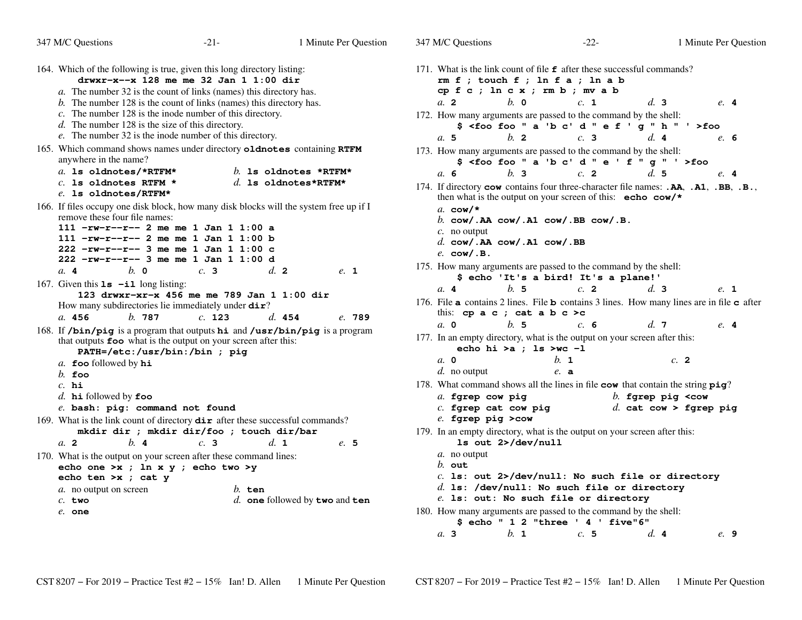| 347 M/C Questions                                                                                                                                                                                                                                                                                                                                                                                 | $-21-$                                        | 1 Minute Per Question | 347 M/C Questions                                                                                                                                                                                                                                                                                                                                                                | $-22-$                                                                                  | 1 Minute Per Question                                                                                                   |  |  |
|---------------------------------------------------------------------------------------------------------------------------------------------------------------------------------------------------------------------------------------------------------------------------------------------------------------------------------------------------------------------------------------------------|-----------------------------------------------|-----------------------|----------------------------------------------------------------------------------------------------------------------------------------------------------------------------------------------------------------------------------------------------------------------------------------------------------------------------------------------------------------------------------|-----------------------------------------------------------------------------------------|-------------------------------------------------------------------------------------------------------------------------|--|--|
| 164. Which of the following is true, given this long directory listing:<br>drwxr-x--x 128 me me 32 Jan 1 1:00 dir<br>a. The number 32 is the count of links (names) this directory has.<br>b. The number 128 is the count of links (names) this directory has.<br>$c$ . The number 128 is the inode number of this directory.<br>$d$ . The number 128 is the size of this directory.              |                                               |                       | 171. What is the link count of file <b>f</b> after these successful commands?<br>$rm f$ ; touch $f$ ; $ln f$ $a$ ; $ln a$ $b$<br>cp f c ; ln c x ; rm b ; mv a b<br>$h$ . $\Omega$<br>a <sub>2</sub><br>d.3<br>c. 1<br>$e.$ 4<br>172. How many arguments are passed to the command by the shell:<br>\$ <foo "="" '="" 'b="" a="" c'="" d="" e="" f="" foo="" g="" h="">foo</foo> |                                                                                         |                                                                                                                         |  |  |
| e. The number 32 is the inode number of this directory.<br>165. Which command shows names under directory oldnotes containing RTFM<br>anywhere in the name?<br>a. 1s oldnotes/*RTFM*<br>$c.$ 1s oldnotes RTFM $*$                                                                                                                                                                                 | b. Is oldnotes *RTFM*<br>d. Is oldnotes*RTFM* |                       | $b$ . 2<br>a.5<br>173. How many arguments are passed to the command by the shell:<br>a. 6<br>h <sub>3</sub>                                                                                                                                                                                                                                                                      | c.3<br>\$ <foo "="" '="" 'b="" a="" c'="" d="" e="" f="" foo="" g="">foo<br/>c. 2</foo> | d.4<br>e. 6<br>d.5<br>$e.$ 4<br>174. If directory cow contains four three-character file names: . AA, . A1, . BB, . B., |  |  |
| e. 1s oldnotes/RTFM*<br>166. If files occupy one disk block, how many disk blocks will the system free up if I<br>remove these four file names:<br>$111$ -rw-r--r-- 2 me me 1 Jan 1 1:00 a<br>111 $-rw-r--2$ me me 1 Jan 1 1:00 b<br>$222$ -rw-r--r-- 3 me me 1 Jan 1 1:00 c<br>$222$ -rw-r--r-- 3 me me 1 Jan 1 1:00 d                                                                           |                                               |                       | then what is the output on your screen of this: echo cow/*<br>a. cow/ $\star$<br>b. $\texttt{cow}/$ . AA $\texttt{cow}/$ . A1 $\texttt{cow}/$ . BB $\texttt{cow}/$ . B.<br>$c$ . no output<br>d. $cov/$ . AA $cov/$ . A1 $cov/$ . BB<br>$e.$ cow/.B.<br>175. How many arguments are passed to the command by the shell:                                                          |                                                                                         |                                                                                                                         |  |  |
| $b. \circ$<br>a.4<br>167. Given this $1s - i1$ long listing:<br>123 drwxr-xr-x 456 me me 789 Jan 1 1:00 dir<br>How many subdirectories lie immediately under dir?<br>a. 456<br>b.787                                                                                                                                                                                                              | d.2<br>c.3<br>c. 123<br>d. 454                | $e.$ 1<br>e. 789      | a.4<br>h.5<br>this: cp $a \nc$ ; cat $a \nb \nc >c$                                                                                                                                                                                                                                                                                                                              | \$ echo 'It's a bird! It's a plane!'<br>c.2                                             | d.3<br>e. 1<br>176. File a contains 2 lines. File b contains 3 lines. How many lines are in file $\sigma$ after         |  |  |
| 168. If /bin/pig is a program that outputs hi and /usr/bin/pig is a program<br>that outputs foo what is the output on your screen after this:<br>PATH=/etc:/usr/bin:/bin ; pig<br>a. foo followed by $hi$<br>$b.$ foo<br>$c.$ hi<br>d. $\mathbf{hi}$ followed by foo<br>e. bash: pig: command not found                                                                                           |                                               |                       | b.5<br>$a. \, 0$<br>177. In an empty directory, what is the output on your screen after this:<br>echo hi >a ; 1s >wc -1<br>$a. \, 0$<br>d. no output<br>178. What command shows all the lines in file cow that contain the string pig?<br>a. fgrep cow pig<br>$c.$ fgrep cat cow pig                                                                                             | c. 6<br>$h_{\cdot}$ 1<br>$e$ . a                                                        | d.7<br>e.4<br>c.2<br>b. fgrep pig $<$ cow<br>d. cat cow > fgrep pig                                                     |  |  |
| 169. What is the link count of directory $\text{dir}$ after these successful commands?<br>mkdir dir ; mkdir dir/foo ; touch dir/bar<br>b.4<br>d. 1<br>$a$ . 2<br>c.3<br>e.5<br>170. What is the output on your screen after these command lines:<br>echo one >x ; ln x y ; echo two >y<br>echo ten >x ; cat y<br>a. no output on screen<br>$b.$ ten<br>d. one followed by two and ten<br>$c.$ two |                                               |                       | e. fgrep pig > cow<br>179. In an empty directory, what is the output on your screen after this:<br>1s out 2>/dev/null<br>a. no output<br>$b.$ out<br>$c.$ ls: out 2>/dev/null: No such file or directory<br>$d.$ ls: /dev/null: No such file or directory<br>e. 1s: out: No such file or directory                                                                               |                                                                                         |                                                                                                                         |  |  |
| $e$ . one                                                                                                                                                                                                                                                                                                                                                                                         |                                               |                       | 180. How many arguments are passed to the command by the shell:                                                                                                                                                                                                                                                                                                                  | \$echo " 1 2 "three ' 4 ' five"6"                                                       |                                                                                                                         |  |  |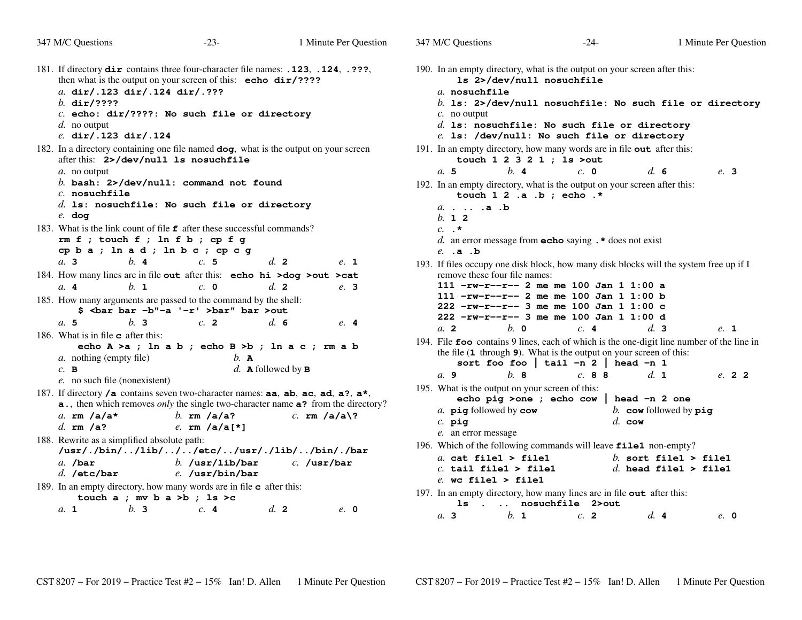| 347 M/C Questions                                                                                                                                                                                                                         | $-23-$                                                                                                          | 1 Minute Per Question                                                                                                                                          | 347 M/C Questions                                                                                                                                                                                                                                                                                      | $-24-$                                                                                                                                                                                                                                                  | 1 Minute Per Question                                                                                                                                        |  |  |  |
|-------------------------------------------------------------------------------------------------------------------------------------------------------------------------------------------------------------------------------------------|-----------------------------------------------------------------------------------------------------------------|----------------------------------------------------------------------------------------------------------------------------------------------------------------|--------------------------------------------------------------------------------------------------------------------------------------------------------------------------------------------------------------------------------------------------------------------------------------------------------|---------------------------------------------------------------------------------------------------------------------------------------------------------------------------------------------------------------------------------------------------------|--------------------------------------------------------------------------------------------------------------------------------------------------------------|--|--|--|
| 181. If directory dir contains three four-character file names: .123, .124, .???,<br>a. dir/.123 dir/.124 dir/.???<br>b. $dir/????$<br>$d.$ no output<br>e. dir/.123 dir/.124                                                             | then what is the output on your screen of this: echo dir/????<br>$c.$ echo: dir/????: No such file or directory |                                                                                                                                                                | 190. In an empty directory, what is the output on your screen after this:<br>1s 2>/dev/null nosuchfile<br>a nosuchfile<br>b. 1s: 2>/dev/null nosuchfile: No such file or directory<br>$c$ . no output<br>$d.$ ls: nosuchfile: No such file or directory<br>e. 1s: /dev/null: No such file or directory |                                                                                                                                                                                                                                                         |                                                                                                                                                              |  |  |  |
| 182. In a directory containing one file named dog, what is the output on your screen<br>after this: 2>/dev/null 1s nosuchfile<br>a. no output<br>$c.$ nosuchfile                                                                          | b. bash: $2$ >/dev/null: command not found<br>$d.$ ls: nosuchfile: No such file or directory                    |                                                                                                                                                                | b.4<br>a.5<br>$a. \ldots .a. b$                                                                                                                                                                                                                                                                        | 191. In an empty directory, how many words are in file out after this:<br>touch $1 \t2 \t3 \t2 \t1$ ; $1s$ >out<br>$c. \; \; \mathbf{0}$<br>192. In an empty directory, what is the output on your screen after this:<br>touch $1 \t2 \t.a. b ;$ echo.* | d.6<br>e. 3                                                                                                                                                  |  |  |  |
| $e.$ dog<br>183. What is the link count of file <b>f</b> after these successful commands?<br>$rm f$ ; touch $f$ ; ln $f$ b; cp $f$ g<br>b.4<br>a.3                                                                                        | cpba; ln ad; ln bc; cpc g<br>c.5                                                                                | d.2<br>e. 1                                                                                                                                                    | b. 12<br>$c. \cdot \star$<br>$e.$ $\cdot$ $a.$ $\cdot$ $b$                                                                                                                                                                                                                                             | d. an error message from <b>echo</b> saying $\cdot$ <b>*</b> does not exist<br>193. If files occupy one disk block, how many disk blocks will the system free up if I                                                                                   |                                                                                                                                                              |  |  |  |
| 184. How many lines are in file out after this: echo hi >dog >out >cat<br>$h_{\mathbf{1}}$<br>a. 4<br>185. How many arguments are passed to the command by the shell:<br>a.5<br>b.3                                                       | $c. \; \; \mathbf{0}$<br>\$ <bar '-r'="" -b"-a="" bar="">bar" bar &gt;out<br/>c. 2</bar>                        | d. 2<br>e. 3<br>$d_{\rm c}$ 6<br>e.4                                                                                                                           | remove these four file names:<br>a. 2<br>$h$ . $\mathbf{0}$                                                                                                                                                                                                                                            | $111$ -rw-r--r-- 2 me me 100 Jan 1 1:00 a<br>111 $-rw-r--r--$ 2 me me 100 Jan 1 1:00 b<br>$222$ -rw-r--r-- 3 me me 100 Jan 1 1:00 c<br>$222$ -rw-r--r-- 3 me me 100 Jan 1 1:00 d<br>c.4                                                                 | d.3<br>e. 1                                                                                                                                                  |  |  |  |
| 186. What is in file $\bf{c}$ after this:<br><i>a</i> . nothing (empty file)<br>$c.$ B<br>e. no such file (nonexistent)<br>187. If directory /a contains seven two-character names: aa, ab, ac, ad, a?, a*,<br>a. $rm/a/a*$<br>d. $rm/a?$ | echo A >a ; ln a b ; echo B >b ; ln a c ; rm a b<br>$b.$ A<br>b. $rm/a/a?$<br>e. rm $/a/a[*r]$                  | d. <b>A</b> followed by $\bf{B}$<br><b>a.</b> , then which removes <i>only</i> the single two-character name <b>a?</b> from the directory?<br>$c.$ rm $/a/a$ ? | $h$ , 8<br>a. 9<br>195. What is the output on your screen of this:<br>a. pig followed by cow<br>$c.$ pig                                                                                                                                                                                               | the file $(1$ through $9)$ . What is the output on your screen of this:<br>sort foo foo   tail -n 2   head -n 1<br>c. 88<br>echo pig >one ; echo cow<br>$d.$ cow                                                                                        | 194. File foo contains 9 lines, each of which is the one-digit line number of the line in<br>d. 1<br>e. 22<br>head $-n$ 2 one<br>b. cow followed by $\pi$ ig |  |  |  |
| 188. Rewrite as a simplified absolute path:<br>$a.$ /bar<br>$d.$ /etc/bar                                                                                                                                                                 | /usr/./bin//lib///etc//usr/./lib//bin/./bar<br>$b.$ /usr/lib/bar<br>e. /usr/bin/bar                             | $c.$ /usr/bar                                                                                                                                                  | e. an error message<br>a. cat file1 > file1<br>$c.$ tail file1 > file1<br>$e$ . wo filel > filel                                                                                                                                                                                                       | 196. Which of the following commands will leave file1 non-empty?                                                                                                                                                                                        | b. sort file1 > file1<br>d. head file1 > file1                                                                                                               |  |  |  |
| 189. In an empty directory, how many words are in file <b>c</b> after this:<br>b.3<br>a. 1                                                                                                                                                | touch $a$ ; mv $b$ $a$ >b; ls >c<br>c.4                                                                         | d.2<br>$e$ , 0                                                                                                                                                 | b. 1<br>a.3                                                                                                                                                                                                                                                                                            | 197. In an empty directory, how many lines are in file out after this:<br>1s. nosuchfile 2>out<br>c. 2                                                                                                                                                  | d.4<br>$e$ , 0                                                                                                                                               |  |  |  |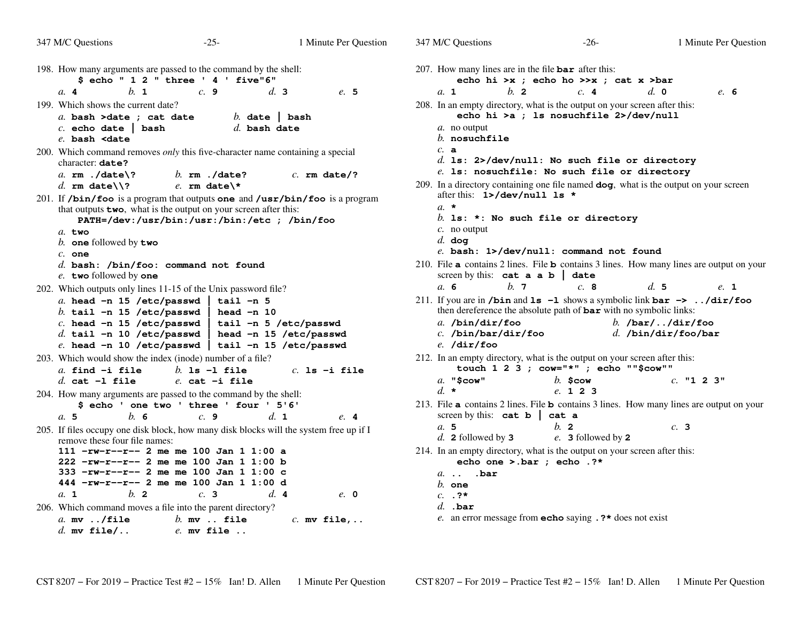| 347 M/C Questions<br>$-25-$                                                                                                                                                                                                                                                                                                                                                                                                  |                                                                              | 1 Minute Per Question | 347 M/C Questions                                                                                                                                 |                                          | $-26-$                                                                                          |                                                | 1 Minute Per Question |
|------------------------------------------------------------------------------------------------------------------------------------------------------------------------------------------------------------------------------------------------------------------------------------------------------------------------------------------------------------------------------------------------------------------------------|------------------------------------------------------------------------------|-----------------------|---------------------------------------------------------------------------------------------------------------------------------------------------|------------------------------------------|-------------------------------------------------------------------------------------------------|------------------------------------------------|-----------------------|
| 198. How many arguments are passed to the command by the shell:<br>\$echo " 1 2 " three ' 4 ' five"6"                                                                                                                                                                                                                                                                                                                        |                                                                              |                       | 207. How many lines are in the file $bar$ after this:                                                                                             |                                          | echo hi >x ; echo ho >>x ; cat x >bar                                                           |                                                |                       |
| $h$ 1<br>c.9<br>a.4                                                                                                                                                                                                                                                                                                                                                                                                          | d.3                                                                          | e. 5                  | a. 1                                                                                                                                              | $b$ . 2                                  | c.4                                                                                             | $d. \; \mathbf{0}$                             | e. 6                  |
| 199. Which shows the current date?<br>a. bash >date ; cat date<br>$c.$ echo date   bash<br>$e$ . bash <date< td=""><td>b. date <math>\vert</math> bash<br/><math>d.</math> bash date</td><td></td><td>208. In an empty directory, what is the output on your screen after this:<br/>a. no output<br/><math>b.</math> nosuchfile</td><td></td><td>echo hi &gt;a ; ls nosuchfile 2&gt;/dev/null</td><td></td><td></td></date<> | b. date $\vert$ bash<br>$d.$ bash date                                       |                       | 208. In an empty directory, what is the output on your screen after this:<br>a. no output<br>$b.$ nosuchfile                                      |                                          | echo hi >a ; ls nosuchfile 2>/dev/null                                                          |                                                |                       |
| 200. Which command removes <i>only</i> this five-character name containing a special<br>character: date?<br>$b.$ rm $./$ date?<br>a. $rm$ ./date\?                                                                                                                                                                                                                                                                           |                                                                              | $c.$ rm date/?        | c. a                                                                                                                                              |                                          | $d.$ 1s: 2>/dev/null: No such file or directory<br>e. 1s: nosuchfile: No such file or directory |                                                |                       |
| d. rm date $\Lambda$ ?<br>e. $rm date$                                                                                                                                                                                                                                                                                                                                                                                       |                                                                              |                       | 209. In a directory containing one file named dog, what is the output on your screen                                                              |                                          |                                                                                                 |                                                |                       |
| 201. If /bin/foo is a program that outputs one and /usr/bin/foo is a program<br>that outputs <b>two</b> , what is the output on your screen after this:<br>PATH=/dev:/usr/bin:/usr:/bin:/etc ; /bin/foo                                                                                                                                                                                                                      |                                                                              |                       | $a_{\cdot}$ *                                                                                                                                     | after this: 1>/dev/null 1s *             | $b.$ 1s: *: No such file or directory                                                           |                                                |                       |
| a. two<br>b. one followed by two<br>$c.$ one                                                                                                                                                                                                                                                                                                                                                                                 |                                                                              |                       | $c$ . no output<br>$d.$ dog                                                                                                                       |                                          | e. bash: 1>/dev/null: command not found                                                         |                                                |                       |
| d. bash: $\Delta$ bin/foo: command not found<br>e. two followed by one                                                                                                                                                                                                                                                                                                                                                       |                                                                              |                       | 210. File a contains 2 lines. File b contains 3 lines. How many lines are output on your                                                          | screen by this: $cat \ a \ a \ b \ date$ |                                                                                                 |                                                |                       |
| 202. Which outputs only lines 11-15 of the Unix password file?                                                                                                                                                                                                                                                                                                                                                               |                                                                              |                       | a. 6                                                                                                                                              | b.7                                      | c.8                                                                                             | d.5                                            | e. 1                  |
| a. head $-n$ 15 /etc/passwd  <br>b. tail -n 15 /etc/passwd<br>$c.$ head $-n$ 15 /etc/passwd<br>$d.$ tail -n 10 /etc/passwd<br>$e.$ head -n 10 /etc/passwd   tail -n 15 /etc/passwd                                                                                                                                                                                                                                           | tail -n 5<br>head $-n$ 10<br>tail -n 5 /etc/passwd<br>head -n 15 /etc/passwd |                       | 211. If you are in /bin and $1s -1$ shows a symbolic link bar $\rightarrow$ /dir/foo<br>a. $/bin/dir/foo$<br>$c.$ /bin/bar/dir/foo<br>e. /dir/foo |                                          | then dereference the absolute path of <b>bar</b> with no symbolic links:                        | b. $/bar/$ $/dir/foo$<br>$d.$ /bin/dir/foo/bar |                       |
| 203. Which would show the index (inode) number of a file?                                                                                                                                                                                                                                                                                                                                                                    |                                                                              |                       | 212. In an empty directory, what is the output on your screen after this:                                                                         |                                          |                                                                                                 |                                                |                       |
| $a.$ find $-i$ file<br>$h$ 1s -1 file                                                                                                                                                                                                                                                                                                                                                                                        |                                                                              | $c.$ ls $-i$ file     |                                                                                                                                                   |                                          | touch 1 2 3 ; cow="*" ; echo ""\$cow""                                                          |                                                |                       |
| $d.$ cat $-1$ file<br>$e.$ cat $-i$ file                                                                                                                                                                                                                                                                                                                                                                                     |                                                                              |                       | $a.$ "Scow"                                                                                                                                       |                                          | $b.$ Scow                                                                                       |                                                | $c.$ "1 2 3"          |
| 204. How many arguments are passed to the command by the shell:                                                                                                                                                                                                                                                                                                                                                              |                                                                              |                       | $d. \star$                                                                                                                                        |                                          | e. 1 2 3                                                                                        |                                                |                       |
| \$ echo ' one two ' three ' four ' 5'6'<br>b.6<br>a.5<br>c.9                                                                                                                                                                                                                                                                                                                                                                 | d. 1                                                                         | e. 4                  | 213. File a contains 2 lines. File b contains 3 lines. How many lines are output on your<br>screen by this: $cat b$                               |                                          | cat a                                                                                           |                                                |                       |
| 205. If files occupy one disk block, how many disk blocks will the system free up if I<br>remove these four file names:                                                                                                                                                                                                                                                                                                      |                                                                              |                       | a. 5<br>$d.$ 2 followed by 3                                                                                                                      |                                          | $b$ . 2<br>e. 3 followed by 2                                                                   | c.3                                            |                       |
| $111 - rw-r-r-2$ me me 100 Jan 1 1:00 a<br>222 -rw-r--r-- 2 me me 100 Jan 1 1:00 b                                                                                                                                                                                                                                                                                                                                           |                                                                              |                       | 214. In an empty directory, what is the output on your screen after this:                                                                         | echo one >.bar ; echo .?*                |                                                                                                 |                                                |                       |
| 333 -rw-r--r-- 2 me me 100 Jan 1 1:00 c<br>444 -rw-r--r-- 2 me me 100 Jan 1 1:00 d                                                                                                                                                                                                                                                                                                                                           |                                                                              |                       | $a.$ $bar$<br>$b.$ one                                                                                                                            |                                          |                                                                                                 |                                                |                       |
| $h$ 2<br>c.3<br>a. 1                                                                                                                                                                                                                                                                                                                                                                                                         | d.4                                                                          | $e$ . 0               | $c. \t. ?*$                                                                                                                                       |                                          |                                                                                                 |                                                |                       |
| 206. Which command moves a file into the parent directory?                                                                                                                                                                                                                                                                                                                                                                   |                                                                              |                       | $d.$ .bar                                                                                                                                         |                                          |                                                                                                 |                                                |                       |
| a. $mv$ ./file<br>$b.$ mv $.$ file<br>$d.$ my file/<br>$e$ . mv file                                                                                                                                                                                                                                                                                                                                                         |                                                                              | $c.$ mv file,         |                                                                                                                                                   |                                          | e. an error message from <b>echo</b> saying $\cdot$ ?* does not exist                           |                                                |                       |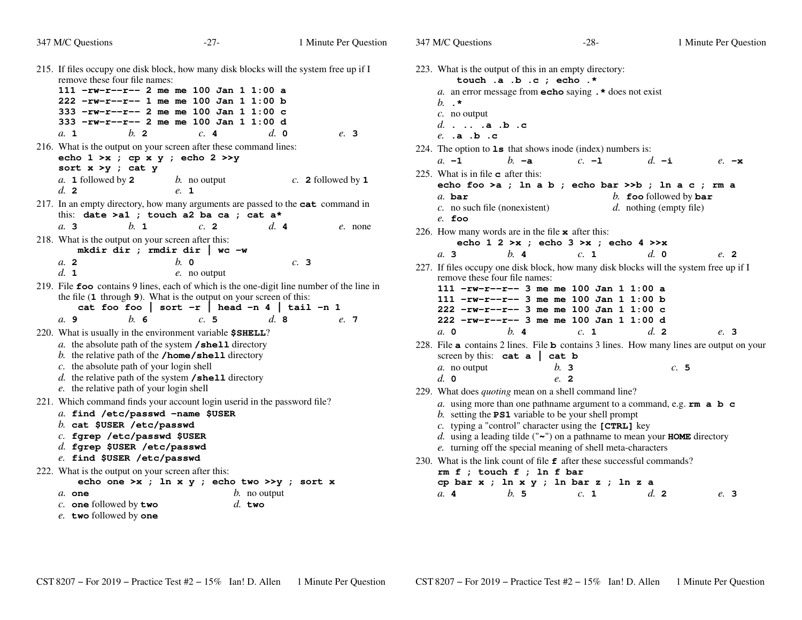| 347 M/C Questions                                                                                                                                                                                                                        | $-27-$                                                                                                                                                                                    | 1 Minute Per Question | 347 M/C Questions                                                                                                       | $-28-$                                                                                                                                                                                                                                                                                                                                                                                                                                    | 1 Minute Per Question                                                                                                        |
|------------------------------------------------------------------------------------------------------------------------------------------------------------------------------------------------------------------------------------------|-------------------------------------------------------------------------------------------------------------------------------------------------------------------------------------------|-----------------------|-------------------------------------------------------------------------------------------------------------------------|-------------------------------------------------------------------------------------------------------------------------------------------------------------------------------------------------------------------------------------------------------------------------------------------------------------------------------------------------------------------------------------------------------------------------------------------|------------------------------------------------------------------------------------------------------------------------------|
| 215. If files occupy one disk block, how many disk blocks will the system free up if I<br>remove these four file names:<br>$h$ 2<br>a. 1                                                                                                 | 111 $-rw-r-r-2$ me me 100 Jan 1 1:00 a<br>222 -rw-r--r-- 1 me me 100 Jan 1 1:00 b<br>333 -rw-r--r-- 2 me me 100 Jan 1 1:00 c<br>333 -rw-r--r-- 2 me me 100 Jan 1 1:00 d<br>c.4            | $d_{\cdot}$ 0<br>e. 3 | $b. \cdot \cdot$<br>$c$ . no output<br>d $a.b.c$<br>$e.$ .a .b .c                                                       | 223. What is the output of this in an empty directory:<br>touch .a .b .c ; echo .*<br>a. an error message from <b>echo</b> saying $\cdot$ * does not exist                                                                                                                                                                                                                                                                                |                                                                                                                              |
| 216. What is the output on your screen after these command lines:<br>echo $1 \gt x$ ; cp x y ; echo $2 \gt y$<br>sort $x > y$ ; cat $y$<br>$a. 1$ followed by 2<br>d. 2                                                                  | $b$ . no output<br>e. 1                                                                                                                                                                   | c. 2 followed by $1$  | $a. -1$<br>225. What is in file $\bf{c}$ after this:                                                                    | 224. The option to $1s$ that shows inode (index) numbers is:<br>$c. -1$<br>$h - a$<br>echo foo >a ; ln a b ; echo bar >>b ; ln a c ; rm a                                                                                                                                                                                                                                                                                                 | $d. -i$<br>$e. -x$                                                                                                           |
| 217. In an empty directory, how many arguments are passed to the <b>cat</b> command in<br>$h_{\mathbf{1}}$<br>a.3                                                                                                                        | this: date >a1 ; touch a2 ba ca ; cat a*<br>c. 2                                                                                                                                          | d.4<br>e. none        | $a.$ bar<br>$c$ . no such file (nonexistent)<br>$e.$ foo<br>226. How many words are in the file $\mathbf x$ after this: |                                                                                                                                                                                                                                                                                                                                                                                                                                           | b. foo followed by $bar$<br>$d.$ nothing (empty file)                                                                        |
| 218. What is the output on your screen after this:<br>a. 2<br>d. 1<br>219. File foo contains 9 lines, each of which is the one-digit line number of the line in                                                                          | mkdir dir ; rmdir dir   wc $-w$<br>$b. \, o$<br>e. no output<br>the file (1 through 9). What is the output on your screen of this:<br>cat foo foo   sort $-r$   head $-n$ 4   tail $-n$ 1 | c.3                   | $h$ . 4<br>$a1$ 3<br>remove these four file names:                                                                      | echo 1 2 > x ; echo 3 > x ; echo 4 > > x<br>c. 1<br>111 $-rw-r--r--$ 3 me me 100 Jan 1 1:00 a<br>111 $-rw-r--r--$ 3 me me 100 Jan 1 1:00 b<br>222 -rw-r--r-- 3 me me 100 Jan 1 1:00 c                                                                                                                                                                                                                                                     | $d. \; \mathbf{0}$<br>e. 2<br>227. If files occupy one disk block, how many disk blocks will the system free up if I         |
| $h$ 6<br>a.9<br>220. What is usually in the environment variable \$SHELL?<br>$c$ . the absolute path of your login shell<br>e. the relative path of your login shell                                                                     | c.5<br>a. the absolute path of the system $/s$ hell directory<br>b. the relative path of the /home/shell directory<br>d. the relative path of the system $\beta$ shell directory          | d.8<br>e. 7           | $a. \, 0$<br>b.4<br>screen by this: $cat a   cat b$<br>$a$ . no output<br>d. 0                                          | 222 -rw-r--r-- 3 me me 100 Jan 1 1:00 d<br>c. 1<br>b.3<br>$e$ 2<br>229. What does <i>quoting</i> mean on a shell command line?                                                                                                                                                                                                                                                                                                            | d.2<br>e. 3<br>228. File <b>a</b> contains 2 lines. File <b>b</b> contains 3 lines. How many lines are output on your<br>c.5 |
| 221. Which command finds your account login userid in the password file?<br>a. find /etc/passwd -name \$USER<br>$b$ . cat \$USER /etc/passwd<br>c. fgrep /etc/passwd \$USER<br>d. fgrep \$USER /etc/passwd<br>e. find \$USER /etc/passwd |                                                                                                                                                                                           |                       |                                                                                                                         | a. using more than one pathname argument to a command, e.g. $rm a \, b \, c$<br>b. setting the <b>PS1</b> variable to be your shell prompt<br>c. typing a "control" character using the $[CTRL]$ key<br>d. using a leading tilde (" $\sim$ ") on a pathname to mean your <b>HOME</b> directory<br>e. turning off the special meaning of shell meta-characters<br>230. What is the link count of file $f$ after these successful commands? |                                                                                                                              |
| 222. What is the output on your screen after this:<br>$a$ . one<br>$c.$ one followed by two<br>e. two followed by one                                                                                                                    | echo one >x ; ln x y ; echo two >>y ; sort x<br>$b$ . no output<br>$d.$ two                                                                                                               |                       | $rm f$ ; touch $f$ ; ln $f$ bar<br>a. 4<br>b.5                                                                          | cp bar x ; ln x y ; ln bar z ; ln z a<br>c. 1                                                                                                                                                                                                                                                                                                                                                                                             | d. 2<br>e. 3                                                                                                                 |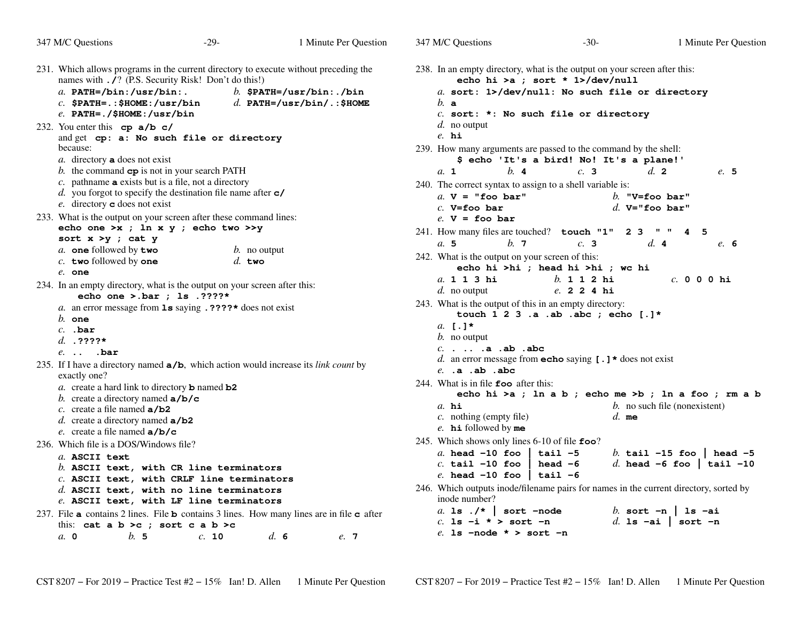| 347 M/C Questions                                                                                                                                                                                                                                                                                                                                                      | $-29-$                                                             | 1 Minute Per Question                                   | 347 M/C Questions                                                                                                                                                                                                                                                                                       | $-30-$                                                                                                                        | 1 Minute Per Question                                                                                             |
|------------------------------------------------------------------------------------------------------------------------------------------------------------------------------------------------------------------------------------------------------------------------------------------------------------------------------------------------------------------------|--------------------------------------------------------------------|---------------------------------------------------------|---------------------------------------------------------------------------------------------------------------------------------------------------------------------------------------------------------------------------------------------------------------------------------------------------------|-------------------------------------------------------------------------------------------------------------------------------|-------------------------------------------------------------------------------------------------------------------|
| 231. Which allows programs in the current directory to execute without preceding the<br>names with $\overline{I}$ ? (P.S. Security Risk! Don't do this!)<br>a. $PATH= / bin$ : /usr/bin:.<br>$c.$ \$PATH=.:\$HOME:/usr/bin<br>$e.$ PATH=./\$HOME:/usr/bin                                                                                                              |                                                                    | b. $$PATH='usr/bin: ./bin$<br>d. PATH=/usr/bin/.:\$HOME | 238. In an empty directory, what is the output on your screen after this:<br>b. a                                                                                                                                                                                                                       | echo hi >a ; sort * 1>/dev/null<br>a. sort: 1>/dev/null: No such file or directory<br>$c.$ sort: *: No such file or directory |                                                                                                                   |
| 232. You enter this $cp \ a/b \ c/$<br>and get cp: a: No such file or directory<br>because:<br>$a$ . directory <b>a</b> does not exist<br>b. the command $cp$ is not in your search PATH<br>$c$ . pathname <b>a</b> exists but is a file, not a directory<br>d. you forgot to specify the destination file name after $c$ /<br>e. directory $\mathbf c$ does not exist |                                                                    |                                                         | $d.$ no output<br>$e$ . hi<br>239. How many arguments are passed to the command by the shell:<br>$h$ . 4<br>a. 1<br>240. The correct syntax to assign to a shell variable is:<br>a. $V = "foo bar"$<br>$c.$ V=foo bar                                                                                   | \$ echo 'It's a bird! No! It's a plane!'<br>c.3                                                                               | $d_{\mathbf{z}}$ 2<br>e. 5<br>b. "V=foo bar"<br>d. $V = "foo bar"$                                                |
| 233. What is the output on your screen after these command lines:<br>sort $x > y$ ; cat $y$<br>a. one followed by two<br>c. two followed by one<br>$e.$ one<br>234. In an empty directory, what is the output on your screen after this:                                                                                                                               | echo one >x ; ln x y ; echo two >>y<br>$b$ . no output<br>$d.$ two |                                                         | $e. V = foo bar$<br>241. How many files are touched? touch "1" 2 3<br>b.7<br>a.5<br>242. What is the output on your screen of this:<br>a. 1 1 3 hi                                                                                                                                                      | c.3<br>echo hi >hi ; head hi >hi ; wc hi<br>$b. 1 1 2 h$ i                                                                    | $\mathbf{u}$ $\mathbf{u}$<br>$\overline{\mathbf{A}}$<br>- 5<br>d.4<br>e. 6<br>$c. 0 0 0 h$ i                      |
| echo one >.bar ; 1s .????*<br>a. an error message from $1s$ saying . ????* does not exist<br>$b.$ one<br>$c.$ .bar<br>d. .????*<br>$e.$ . $bar$                                                                                                                                                                                                                        |                                                                    |                                                         | $d.$ no output<br>243. What is the output of this in an empty directory:<br>a. $\mathsf{I} \cdot \mathsf{I}^*$<br>$b$ . no output<br>c. a . ab . abc                                                                                                                                                    | e. 2 2 4 hi<br>touch $1 \t2 \t3 \tabla \tabla \tabla$ . ab. abc ; echo [.]*                                                   |                                                                                                                   |
| 235. If I have a directory named $a/b$ , which action would increase its <i>link count</i> by<br>exactly one?<br>a. create a hard link to directory <b>b</b> named $b2$<br>b. create a directory named $a/b/c$<br>c. create a file named $a/b2$<br>d. create a directory named $a/b2$<br>e. create a file named $a/b/c$                                                |                                                                    |                                                         | $e.$ .a .ab .abc<br>244. What is in file $\epsilon$ foo after this:<br>$a.$ hi<br>$c.$ nothing (empty file)<br>$e$ . <b>hi</b> followed by me                                                                                                                                                           | d. an error message from <b>echo</b> saying $[ . ] *$ does not exist<br>$d.$ me                                               | echo hi >a ; ln a b ; echo me >b ; ln a foo ; rm a b<br>$b$ . no such file (nonexistent)                          |
| 236. Which file is a DOS/Windows file?<br>a. ASCII text<br>$b$ . ASCII text, with CR line terminators<br>$c.$ ASCII text, with CRLF line terminators<br>$d.$ ASCII text, with no line terminators<br>e. ASCII text, with LF line terminators<br>237. File a contains 2 lines. File b contains 3 lines. How many lines are in file c after                              |                                                                    |                                                         | 245. Which shows only lines 6-10 of file foo?<br>a. head $-10$ foo $\parallel$<br>$c.$ tail $-10$ foo<br>$e$ . head -10 foo   tail -6<br>246. Which outputs inode/filename pairs for names in the current directory, sorted by<br>inode number?<br>a. 1s $./*$ sort -node<br>$c.$ 1s $-i$ * > sort $-n$ | tail $-5$<br>head $-6$                                                                                                        | b. tail $-15$ foo   head $-5$<br>d. head -6 foo   tail -10<br>b. sort $-n$   1s $-ai$<br>d. 1s $-$ ai   sort $-n$ |
| this: cat a b >c ; sort c a b >c<br>b.5<br>$a$ , $o$                                                                                                                                                                                                                                                                                                                   | c. 10                                                              | d.6<br>e. 7                                             | e. 1s -node * > sort -n                                                                                                                                                                                                                                                                                 |                                                                                                                               |                                                                                                                   |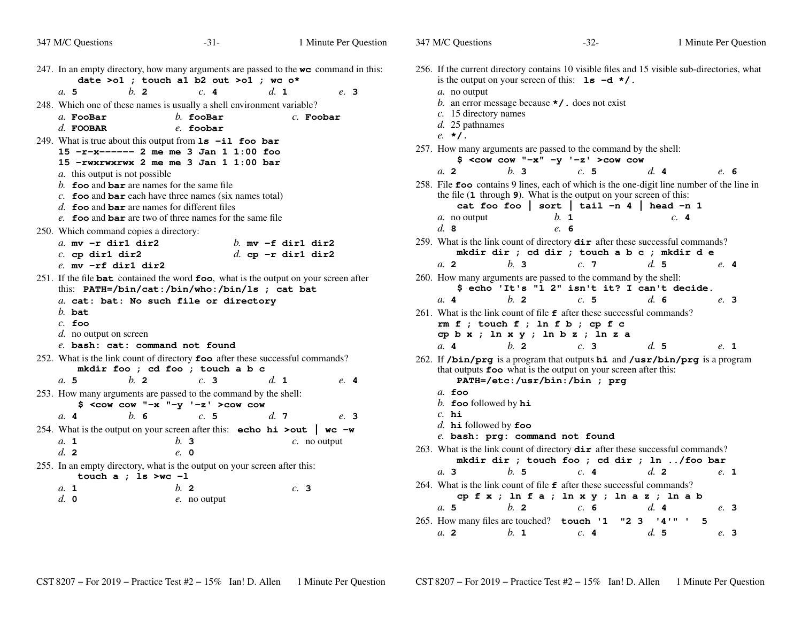| 347 M/C Questions                                                                                                                      | $-31-$                                   | 1 Minute Per Question                                                                           |  |
|----------------------------------------------------------------------------------------------------------------------------------------|------------------------------------------|-------------------------------------------------------------------------------------------------|--|
|                                                                                                                                        | date >o1 ; touch a1 b2 out >o1 ; wc $o*$ | 247. In an empty directory, how many arguments are passed to the $w\mathbf{c}$ command in this: |  |
| $b$ . 2<br>a. 5                                                                                                                        | c. 4                                     | $d_{\mathbf{1}}$<br>e. 3                                                                        |  |
| 248. Which one of these names is usually a shell environment variable?                                                                 |                                          |                                                                                                 |  |
| a. FooBar                                                                                                                              | $b.$ fooBar                              | $c.$ Foobar                                                                                     |  |
| $d.$ FOOBAR                                                                                                                            | e. foobar                                |                                                                                                 |  |
| 249. What is true about this output from $1s$ -il foo bar                                                                              |                                          |                                                                                                 |  |
| 15 -r-x----- 2 me me 3 Jan 1 1:00 foo                                                                                                  |                                          |                                                                                                 |  |
| 15 -rwxrwxrwx 2 me me 3 Jan 1 1:00 bar                                                                                                 |                                          |                                                                                                 |  |
| a. this output is not possible                                                                                                         |                                          |                                                                                                 |  |
| b. <b>foo</b> and <b>bar</b> are names for the same file                                                                               |                                          |                                                                                                 |  |
| c. $\epsilon$ foo and bar each have three names (six names total)                                                                      |                                          |                                                                                                 |  |
| d. <b>foo</b> and <b>bar</b> are names for different files                                                                             |                                          |                                                                                                 |  |
| e. foo and bar are two of three names for the same file                                                                                |                                          |                                                                                                 |  |
| 250. Which command copies a directory:                                                                                                 |                                          |                                                                                                 |  |
| $a.$ mv $-r$ dirl dir2                                                                                                                 |                                          | b. mv $-f$ dirl dir2                                                                            |  |
| $c.$ cp dirl dir2                                                                                                                      |                                          | d. cp $-r$ dirl dir2                                                                            |  |
| $e$ . mv $-rf$ dirl dir2                                                                                                               |                                          |                                                                                                 |  |
| 251. If the file bat contained the word foo, what is the output on your screen after<br>this: PATH=/bin/cat:/bin/who:/bin/ls ; cat bat |                                          |                                                                                                 |  |
| a. cat: bat: No such file or directory                                                                                                 |                                          |                                                                                                 |  |
| $b.$ bat                                                                                                                               |                                          |                                                                                                 |  |
| $c.$ foo                                                                                                                               |                                          |                                                                                                 |  |
| d. no output on screen                                                                                                                 |                                          |                                                                                                 |  |
| e. bash: cat: command not found                                                                                                        |                                          |                                                                                                 |  |
| 252. What is the link count of directory foo after these successful commands?                                                          | mkdir foo ; cd foo ; touch a b c         |                                                                                                 |  |
| $h$ 2<br>a. 5                                                                                                                          | c.3                                      | d. 1<br>$e$ 4                                                                                   |  |
| 253. How many arguments are passed to the command by the shell:                                                                        | $$ <$ cow cow "-x "-y '-z' >cow cow      |                                                                                                 |  |
| $h$ 6<br>a.4                                                                                                                           | c.5                                      | $d_{\cdot}$ 7<br>e. 3                                                                           |  |
| 254. What is the output on your screen after this: echo hi >out   wc -w                                                                |                                          |                                                                                                 |  |
| a. 1                                                                                                                                   | b.3                                      | $c$ . no output                                                                                 |  |
| $d_{\mathbf{z}}$ 2                                                                                                                     | $e$ , 0                                  |                                                                                                 |  |
| 255. In an empty directory, what is the output on your screen after this:<br>touch a ; $ls > wc - l$                                   |                                          |                                                                                                 |  |
| a. 1                                                                                                                                   | $b$ . 2                                  | $c$ . 3                                                                                         |  |
| $d. \; \mathbf{0}$                                                                                                                     | e. no output                             |                                                                                                 |  |
|                                                                                                                                        |                                          |                                                                                                 |  |

| 347 M/C Questions                                                                                                                                                              | $-32-$                                                                                                                                              |                | 1 Minute Per Question |
|--------------------------------------------------------------------------------------------------------------------------------------------------------------------------------|-----------------------------------------------------------------------------------------------------------------------------------------------------|----------------|-----------------------|
| 256. If the current directory contains 10 visible files and 15 visible sub-directories, what<br>a. no output<br>$c.$ 15 directory names<br>$d.$ 25 pathnames<br>$e. \star I$ . | is the output on your screen of this: $1s - d \star /$ .<br>b. an error message because $\star$ / . does not exist                                  |                |                       |
| 257. How many arguments are passed to the command by the shell:                                                                                                                | $$ <$ cow cow "-x" -y '-z' >cow cow                                                                                                                 |                |                       |
| a <sub>2</sub><br>$h$ . 3                                                                                                                                                      | c.5                                                                                                                                                 | d.4            | e. 6                  |
| 258. File foo contains 9 lines, each of which is the one-digit line number of the line in<br>a. no output<br>d.8                                                               | the file $(1$ through $9)$ . What is the output on your screen of this:<br>cat foo foo   sort   tail -n 4   head -n 1<br>b.<br>$\mathbf{1}$<br>e. 6 | c.4            |                       |
| 259. What is the link count of directory dir after these successful commands?                                                                                                  |                                                                                                                                                     |                |                       |
|                                                                                                                                                                                | mkdir dir ; cd dir ; touch a b c ; mkdir d e                                                                                                        |                |                       |
| $h1$ 3<br>a <sub>2</sub>                                                                                                                                                       | c.7                                                                                                                                                 | d.5            | e. 4                  |
|                                                                                                                                                                                |                                                                                                                                                     |                |                       |
| 260. How many arguments are passed to the command by the shell:                                                                                                                | \$ echo 'It's "1 2" isn't it? I can't decide.                                                                                                       |                |                       |
| $h$ . 2<br>a.4                                                                                                                                                                 | c.5                                                                                                                                                 | $d_{\alpha}$ 6 | e. 3                  |
| 261. What is the link count of file $\epsilon$ after these successful commands?                                                                                                | $rm f$ ; touch $f$ ; ln $f$ b; cp $f$ c<br>cp b x ; ln x y ; ln b z ; ln z a                                                                        |                |                       |
| $h$ 2<br>a.4                                                                                                                                                                   | c.3                                                                                                                                                 | d.5            | e. 1                  |
| 262. If /bin/prg is a program that outputs hi and /usr/bin/prg is a program                                                                                                    | that outputs foo what is the output on your screen after this:<br>PATH=/etc:/usr/bin:/bin ; prg                                                     |                |                       |
| $a.$ foo                                                                                                                                                                       |                                                                                                                                                     |                |                       |
| b. foo followed by $hi$                                                                                                                                                        |                                                                                                                                                     |                |                       |
| $c.$ hi                                                                                                                                                                        |                                                                                                                                                     |                |                       |
| d. $h$ is followed by $foo$                                                                                                                                                    |                                                                                                                                                     |                |                       |
| e. bash: prg: command not found                                                                                                                                                |                                                                                                                                                     |                |                       |
| 263. What is the link count of directory $\text{dir}$ after these successful commands?                                                                                         | mkdir dir ; touch foo ; cd dir ; ln /foo bar                                                                                                        |                |                       |
| b. 5<br>$a1$ 3                                                                                                                                                                 | c.4                                                                                                                                                 | $d.$ 2         | e. 1                  |
| 264. What is the link count of file $f$ after these successful commands?                                                                                                       |                                                                                                                                                     |                |                       |
|                                                                                                                                                                                | cpfx; lnfa; lnxy; lnaz; lnab                                                                                                                        |                |                       |
| $b1$ 2<br>a.5                                                                                                                                                                  | c. 6                                                                                                                                                | d.4            | e. 3                  |
| 265. How many files are touched? touch '1                                                                                                                                      |                                                                                                                                                     | "2 3 '4'" '    | 5                     |
|                                                                                                                                                                                |                                                                                                                                                     |                |                       |
| $b.$ 1<br>a. 2                                                                                                                                                                 | c.4                                                                                                                                                 | d.5            | e. 3                  |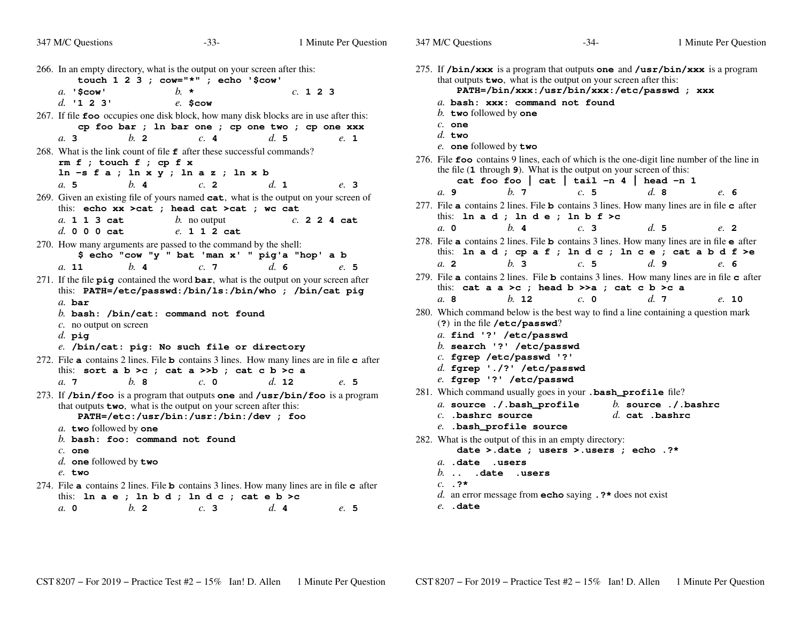| 347 M/C Questions                                                                                              | $-33-$                                                                                                             | 1 Minute Per Question                                  | 347 M/C Questions                     |
|----------------------------------------------------------------------------------------------------------------|--------------------------------------------------------------------------------------------------------------------|--------------------------------------------------------|---------------------------------------|
| 266. In an empty directory, what is the output on your screen after this:                                      | touch 1 2 3 ; cow="*" ; echo '\$cow'                                                                               |                                                        | 275. If $/bin/xxx$<br>that outputs to |
| $a.$ '\$cow'                                                                                                   | $h \star$                                                                                                          | c. 1 2 3                                               | $PATH = / 1$                          |
| d. $123'$                                                                                                      | $e.$ \$cow                                                                                                         |                                                        | $a.$ bash: $x_2$<br>b. two follow     |
| 267. If file foo occupies one disk block, how many disk blocks are in use after this:                          |                                                                                                                    | cp foo bar ; ln bar one ; cp one two ; cp one xxx      | $c.$ one                              |
| $h$ . 2<br>$a1$ 3                                                                                              | c.4                                                                                                                | d.5<br>e. 1                                            | $d.$ two                              |
| 268. What is the link count of file $\epsilon$ after these successful commands?                                |                                                                                                                    |                                                        | e. one follow                         |
| $rm f$ ; touch $f$ ; cp $f$ x                                                                                  |                                                                                                                    |                                                        | 276. File foo cont                    |
|                                                                                                                | $ln -s$ fa; $ln x y$ ; $ln az$ ; $ln x b$                                                                          |                                                        | the file $(1$ thro                    |
| b.4<br>a. 5                                                                                                    | $c$ . 2                                                                                                            | d. 1<br>e. 3                                           | cat for                               |
| 269. Given an existing file of yours named cat, what is the output on your screen of                           |                                                                                                                    |                                                        | a. 9                                  |
|                                                                                                                | this: echo xx > cat ; head cat > cat ; wc cat                                                                      |                                                        | 277. File $\alpha$ contain            |
| a. 1 1 3 cat                                                                                                   | $b$ . no output                                                                                                    | c. 2 2 4 cat                                           | this: In a o<br>$a_{\rm}$ 0           |
| d. 0 0 0 cat                                                                                                   | e. 1 1 2 cat                                                                                                       |                                                        |                                       |
| 270. How many arguments are passed to the command by the shell:                                                |                                                                                                                    |                                                        | 278. File a contain<br>this: In a o   |
|                                                                                                                | \$ echo "cow "y " bat 'man x' " pig'a "hop' a b                                                                    |                                                        | $a$ 2                                 |
| $h$ 4<br>a. 11                                                                                                 | c.7                                                                                                                | $d_{\alpha}$ 6<br>e. 5                                 | 279. File a contain                   |
| 271. If the file $\vec{p}$ contained the word $\vec{b}$ ar, what is the output on your screen after            |                                                                                                                    | this: PATH=/etc/passwd:/bin/ls:/bin/who ; /bin/cat pig | this: cat a                           |
| $a.$ bar                                                                                                       |                                                                                                                    |                                                        | a.8                                   |
|                                                                                                                | b. bash: $\int$ bin $\int$ cat: command not found                                                                  |                                                        | 280. Which comma                      |
| $c$ . no output on screen                                                                                      |                                                                                                                    |                                                        | $(?)$ in the file                     |
| $d.$ pig                                                                                                       |                                                                                                                    |                                                        | $a.$ find $'$ ?                       |
|                                                                                                                | e. /bin/cat: pig: No such file or directory                                                                        |                                                        | $b.$ search                           |
| 272. File <b>a</b> contains 2 lines. File <b>b</b> contains 3 lines. How many lines are in file <b>c</b> after |                                                                                                                    |                                                        | $c.$ fgrep / $($                      |
|                                                                                                                | this: sort a $b > c$ ; cat a $>> b$ ; cat c $b > c$ a                                                              |                                                        | $d.$ fgrep '<br>$e.$ fgrep $'$        |
| $h$ 8<br>a.7                                                                                                   | $c. \; \mathbf{0}$                                                                                                 | d. 12<br>e. 5                                          |                                       |
| 273. If /bin/foo is a program that outputs one and /usr/bin/foo is a program                                   |                                                                                                                    |                                                        | 281. Which comma<br>a. source         |
|                                                                                                                | that outputs <b>two</b> , what is the output on your screen after this:<br>PATH=/etc:/usr/bin:/usr:/bin:/dev ; foo |                                                        | $c.$ bashrc                           |
| a. two followed by one                                                                                         |                                                                                                                    |                                                        | e. .bash_pi                           |
| $b.$ bash: foo: command not found                                                                              |                                                                                                                    |                                                        | 282. What is the ou                   |
| $c.$ one                                                                                                       |                                                                                                                    |                                                        | date >                                |
| d. one followed by two                                                                                         |                                                                                                                    |                                                        | $a.$ $.\overline{\text{date}}$        |
| $e$ . two                                                                                                      |                                                                                                                    |                                                        | b.<br>dat.                            |
| 274. File <b>a</b> contains 2 lines. File <b>b</b> contains 3 lines. How many lines are in file <b>c</b> after |                                                                                                                    |                                                        | $c.$ . ?*                             |
|                                                                                                                | this: In $a e$ ; In $b d$ ; In $d c$ ; cat $e b > c$                                                               |                                                        | $d.$ an error me                      |
| b.2<br>$a. \, 0$                                                                                               | c.3                                                                                                                | d.4<br>e.5                                             | $e.$ . date                           |
|                                                                                                                |                                                                                                                    |                                                        |                                       |

275. If **/bin/xxx** is a program that outputs **one** and **/usr/bin/xxx** is a programthat outputs **two**, what is the output on your screen after this: **PATH=/bin/xxx:/usr/bin/xxx:/etc/passwd ; xxx***a.* **bash: xxx: command not found***b.* **two** followed by **one** *c.* **one** *d.* **two** *e.* **one** followed by **two** 276. File **foo** contains 9 lines, each of which is the one-digit line number of the line in the file (**1** through **<sup>9</sup>**). What is the output on your screen of this: **cat foo foo | cat | tail -n 4 | head -n 1***a.* **9** *b.* **<sup>7</sup>** *c.* **<sup>5</sup>** *d.* **<sup>8</sup>** *e.* **<sup>6</sup>** 277. File **<sup>a</sup>** contains 2 lines. File **<sup>b</sup>** contains 3 lines. How many lines are in file **<sup>c</sup>** after this: **ln a d ; ln d e ; ln b f >c***a.* **0** *b.* **<sup>4</sup>** *c.* **<sup>3</sup>** *d.* **<sup>5</sup>** *e.* **<sup>2</sup>** 278. File **<sup>a</sup>** contains 2 lines. File **<sup>b</sup>** contains 3 lines. How many lines are in file **<sup>e</sup>** after this: **ln a d ; cp a f ; ln d c ; ln c e ; cat a b d f >e***a.* **<sup>2</sup>** *b.* **<sup>3</sup>** *c.* **<sup>5</sup>** *d.* **<sup>9</sup>** *e.* **<sup>6</sup>** 279. File **<sup>a</sup>** contains 2 lines. File **<sup>b</sup>** contains 3 lines. How many lines are in file **<sup>c</sup>** after this: **cat a a >c ; head b >>a ; cat c b >c a***a.* **8** *b.* **<sup>12</sup>** *c.* **<sup>0</sup>** *d.* **<sup>7</sup>** *e.* **<sup>10</sup>** 280. Which command below is the best way to find a line containing a question mark (**?**) in the file **/etc/passwd**? *a.* **find '?' /etc/passwd** *b.* **search '?' /etc/passwd***c.* **fgrep /etc/passwd '?'** *d.* **fgrep './?' /etc/passwd***e.* **fgrep '?' /etc/passwd** 281. Which command usually goes in your **.bash\_profile** file? *a.* **source ./.bash\_profile** *b.* **source ./.bashrc** *c.* **.bashrc source** *d.* **cat .bashrc** *e.* **.bash\_profile source** 282. What is the output of this in an empty directory: **date >.date ; users >.users ; echo .?\****a.* **.date .users** *b.* **.. .date .users***c.* **.?\****d.* an error message from **echo** saying **.?\*** does not exist

 $-34-$  1

Minute Per Question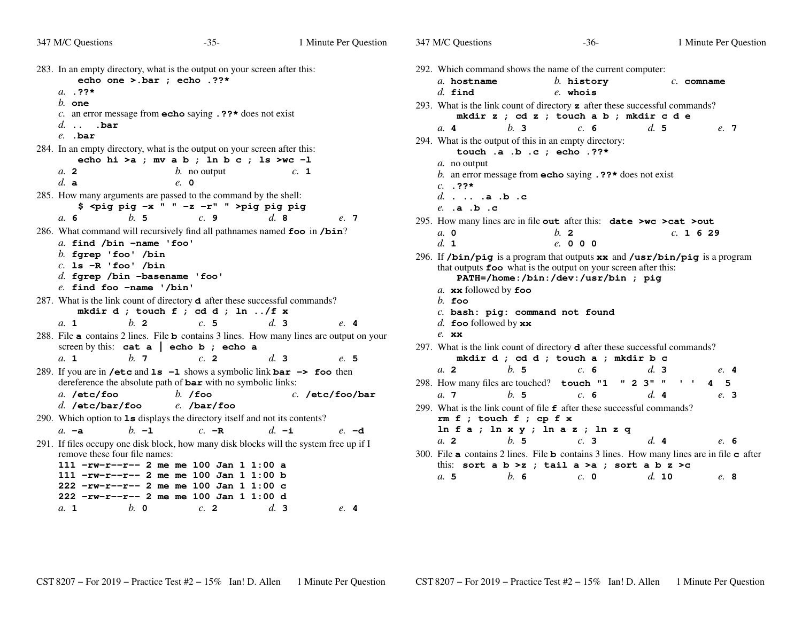| 347 M/C Questions                                                                                                                                                      | $-35-$                                                                    | 1 Minute Per Question                  | 347 M/C Questions                                                                                                                      | $-36-$                                                                                                | 1 Minute Per Question                                                                                                         |
|------------------------------------------------------------------------------------------------------------------------------------------------------------------------|---------------------------------------------------------------------------|----------------------------------------|----------------------------------------------------------------------------------------------------------------------------------------|-------------------------------------------------------------------------------------------------------|-------------------------------------------------------------------------------------------------------------------------------|
| 283. In an empty directory, what is the output on your screen after this:<br>echo one >.bar ; echo .??*<br>$a. 32*$                                                    |                                                                           |                                        | 292. Which command shows the name of the current computer:<br>a. hostname<br>$d.$ find                                                 | $b.$ history<br>$e$ . whois                                                                           | $c.$ comname                                                                                                                  |
| $b.$ one<br>c. an error message from <b>echo</b> saying $.$ ??* does not exist<br>$d.$ .bar                                                                            |                                                                           |                                        | 293. What is the link count of directory $\boldsymbol{z}$ after these successful commands?<br>h <sub>2</sub><br>a.4                    | mkdir z ; cd z ; touch a b ; mkdir c d e<br>c. 6                                                      | d.5<br>e. 7                                                                                                                   |
| $e.$ . bar<br>284. In an empty directory, what is the output on your screen after this:                                                                                | echo hi > a ; mv a b ; ln b c ; ls > wc -1                                |                                        | 294. What is the output of this in an empty directory:<br>a. no output                                                                 | touch .a .b .c ; echo .??*                                                                            |                                                                                                                               |
| a. 2<br>$d.$ a<br>285. How many arguments are passed to the command by the shell:                                                                                      | $b$ . no output<br>$e$ , 0                                                | c. 1                                   | $c. 72*$<br>d $a.b.c$                                                                                                                  | b. an error message from <b>echo</b> saying $\cdot$ ??* does not exist                                |                                                                                                                               |
| a. 6<br>b.5                                                                                                                                                            | $$$ <pig -x="" <math="" pig="">" " -z -r" " &gt;pig pig pig<br/>c.9</pig> | d.8<br>e. 7                            | $e.$ $\cdot$ a $\cdot$ b $\cdot$ c<br>295. How many lines are in file out after this: date >wc >cat >out                               |                                                                                                       |                                                                                                                               |
| 286. What command will recursively find all pathnames named foo in /bin?<br>a. find /bin -name 'foo'<br>$b.$ fgrep 'foo' /bin                                          |                                                                           |                                        | $a. \, 0$<br>d. 1                                                                                                                      | $b$ . 2<br>e. 0 0 0                                                                                   | c. 1629                                                                                                                       |
| $c.$ 1s $-R$ 'foo' /bin<br>$d.$ fgrep /bin -basename 'foo'<br>$e$ . find foo -name '/bin'                                                                              |                                                                           |                                        | 296. If /bin/pig is a program that outputs xx and /usr/bin/pig is a program                                                            | that outputs foo what is the output on your screen after this:<br>PATH=/home:/bin:/dev:/usr/bin ; pig |                                                                                                                               |
| 287. What is the link count of directory <b>d</b> after these successful commands?                                                                                     | mkdir d ; touch f ; cd d ; ln /f x                                        |                                        | a. xx followed by foo<br>$b$ . foo<br>$c.$ bash: pig: command not found                                                                |                                                                                                       |                                                                                                                               |
| a. 1<br>$h$ 2<br>288. File <b>a</b> contains 2 lines. File <b>b</b> contains 3 lines. How many lines are output on your<br>screen by this: cat $a \mid$ echo b; echo a | c.5                                                                       | d.3<br>e.4                             | d. foo followed by $\mathbf{x} \mathbf{x}$<br>$e.$ xx<br>297. What is the link count of directory $d$ after these successful commands? |                                                                                                       |                                                                                                                               |
| $h$ . 7<br>a. 1                                                                                                                                                        | c <sub>2</sub>                                                            | d.3<br>e. 5                            | b.5<br>a.2                                                                                                                             | mkdir d ; cd d ; touch a ; mkdir b c<br>c. 6                                                          | d.3<br>e. 4                                                                                                                   |
| 289. If you are in /etc and $ls -1$ shows a symbolic link $bar \rightarrow$ foo then<br>dereference the absolute path of <b>bar</b> with no symbolic links:            |                                                                           |                                        | 298. How many files are touched? touch "1" 2 3" " ' ' 4                                                                                |                                                                                                       | 5                                                                                                                             |
| a. /etc/foo<br>$d.$ /etc/bar/foo<br>290. Which option to $1s$ displays the directory itself and not its contents?<br>$b - 1$<br>$a. -a$                                | $b.$ /foo<br>$e.$ /bar/foo<br>$c. -R$                                     | $c.$ /etc/foo/bar<br>$d. -i$<br>$e$ -d | h.5<br>a.7<br>299. What is the link count of file $\epsilon$ after these successful commands?<br>$rm f$ ; touch $f$ ; cp $f$ x         | c. 6<br>$ln f a$ ; $ln x y$ ; $ln a z$ ; $ln z q$                                                     | d.4<br>e. 3                                                                                                                   |
| 291. If files occupy one disk block, how many disk blocks will the system free up if I<br>remove these four file names:<br>111 $-rw-r--r--$ 2 me me 100 Jan 1 1:00 a   |                                                                           |                                        | a.2<br>b.5                                                                                                                             | c.3<br>this: sort a $b > z$ ; tail a >a; sort a $b z > c$                                             | d.4<br>e. 6<br>300. File <b>a</b> contains 2 lines. File <b>b</b> contains 3 lines. How many lines are in file <b>c</b> after |
| 111 $-rw-r--r--$ 2 me me 100 Jan 1 1:00 b<br>$222$ -rw-r--r-- 2 me me 100 Jan 1 1:00 c<br>$222 - rw-r--2$ me me 100 Jan 1 1:00 d<br>$b. \circ$<br>a. 1                 | c. 2                                                                      | $d_{\mathbf{3}}$<br>e.4                | b.6<br>a.5                                                                                                                             | $c. \; 0$                                                                                             | d. 10<br>e. 8                                                                                                                 |
|                                                                                                                                                                        |                                                                           |                                        |                                                                                                                                        |                                                                                                       |                                                                                                                               |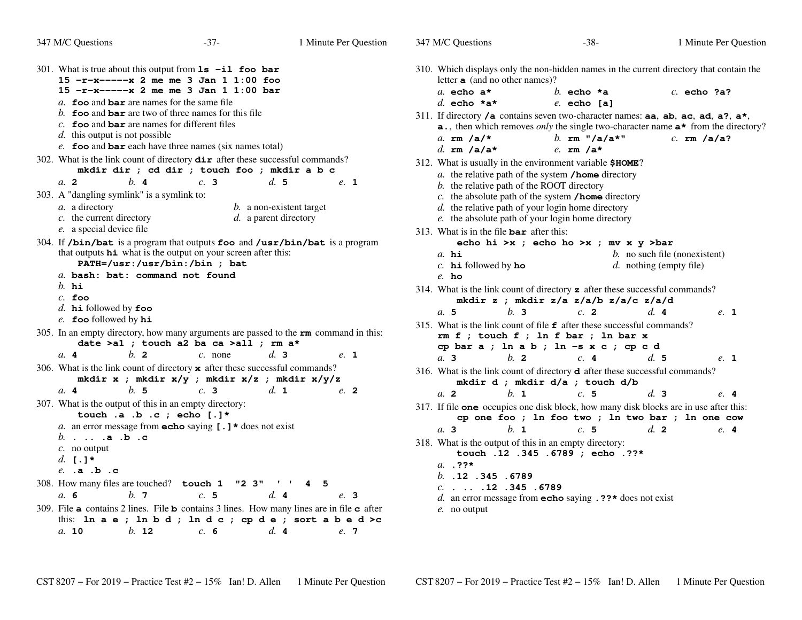| 347 M/C Questions                                                                                                                                                                     | $-37-$                                              | 1 Minute Per Question                                                                 |                                                                                                                                                                 | 347 M/C Questions                                     |                | $-38-$                                                                                                                                                                                    |                                                               |                  | 1 Minute Per Question |
|---------------------------------------------------------------------------------------------------------------------------------------------------------------------------------------|-----------------------------------------------------|---------------------------------------------------------------------------------------|-----------------------------------------------------------------------------------------------------------------------------------------------------------------|-------------------------------------------------------|----------------|-------------------------------------------------------------------------------------------------------------------------------------------------------------------------------------------|---------------------------------------------------------------|------------------|-----------------------|
| 301. What is true about this output from $1s$ -il foo bar<br>$15 - r - x - - - - x$ 2 me me 3 Jan 1 1:00 foo                                                                          |                                                     |                                                                                       |                                                                                                                                                                 | letter $\alpha$ (and no other names)?                 |                | 310. Which displays only the non-hidden names in the current directory that contain the                                                                                                   |                                                               |                  |                       |
| $15 - r - x - - -x$ 2 me me 3 Jan 1 1:00 bar<br>a. foo and bar are names for the same file                                                                                            |                                                     |                                                                                       |                                                                                                                                                                 | a. echo $a^*$<br>d. echo $*$ a $*$                    |                | b. echo $*$ a<br>$e$ . echo [a]                                                                                                                                                           |                                                               | $c.$ echo ?a?    |                       |
| b. foo and bar are two of three names for this file<br>$c$ . foo and bar are names for different files                                                                                |                                                     |                                                                                       |                                                                                                                                                                 |                                                       |                | 311. If directory $/$ a contains seven two-character names: aa, ab, ac, ad, a?, a*,<br><b>a.</b> , then which removes <i>only</i> the single two-character name $a^*$ from the directory? |                                                               |                  |                       |
| $d.$ this output is not possible<br>e. foo and $bar$ each have three names (six names total)                                                                                          |                                                     |                                                                                       |                                                                                                                                                                 | a. $rm/a$ /a/*<br>d. $rm/a/a*$                        |                | b. $rm "/a/a*"$<br>$e.$ rm $/a*$                                                                                                                                                          |                                                               | $c.$ rm $/a/a$ ? |                       |
| 302. What is the link count of directory $\text{dir}$ after these successful commands?<br>b.4<br>a.2                                                                                  | mkdir dir ; cd dir ; touch foo ; mkdir a b c<br>c.3 | d.5<br>e. 1                                                                           | 312. What is usually in the environment variable \$HOME?<br>$a$ . the relative path of the system /home directory<br>b. the relative path of the ROOT directory |                                                       |                |                                                                                                                                                                                           |                                                               |                  |                       |
| 303. A "dangling symlink" is a symlink to:<br>a. a directory<br>c. the current directory<br>e. a special device file                                                                  |                                                     | <i>b</i> . a non-existent target<br>d. a parent directory                             |                                                                                                                                                                 | 313. What is in the file $bar$ after this:            |                | $c$ . the absolute path of the system /home directory<br>$d.$ the relative path of your login home directory<br>e. the absolute path of your login home directory                         |                                                               |                  |                       |
| 304. If /bin/bat is a program that outputs foo and /usr/bin/bat is a program<br>that outputs <b>hi</b> what is the output on your screen after this:<br>PATH=/usr:/usr/bin:/bin ; bat |                                                     |                                                                                       |                                                                                                                                                                 | $a.$ hi<br>$c.$ hi followed by ho                     |                | echo hi >x ; echo ho >x ; mv x y >bar                                                                                                                                                     | $b$ . no such file (nonexistent)<br>$d.$ nothing (empty file) |                  |                       |
| a. bash: bat: command not found<br>$h$ . hi<br>$c.$ foo                                                                                                                               |                                                     |                                                                                       |                                                                                                                                                                 | $e$ . ho                                              |                | 314. What is the link count of directory $\boldsymbol{z}$ after these successful commands?<br>mkdir z ; mkdir z/a z/a/b z/a/c z/a/d                                                       |                                                               |                  |                       |
| $d.$ hi followed by foo<br>$e$ . foo followed by $hi$                                                                                                                                 |                                                     |                                                                                       |                                                                                                                                                                 | a.5                                                   | h <sub>3</sub> | c <sub>2</sub>                                                                                                                                                                            | $d_{\mathbf{z}}$ 4                                            |                  | e. 1                  |
| 305. In an empty directory, how many arguments are passed to the <b>rm</b> command in this:                                                                                           | date >a1 ; touch a2 ba ca >all ; rm a*              |                                                                                       |                                                                                                                                                                 |                                                       |                | 315. What is the link count of file $f$ after these successful commands?<br>$rm f$ ; touch $f$ ; ln $f$ bar; ln bar x<br>cp bar a ; ln a b ; ln -s x c ; cp c d                           |                                                               |                  |                       |
| $h_{2}$<br>a.4                                                                                                                                                                        | $c.$ none                                           | $d_{\mathbf{3}}$<br>e. 1                                                              |                                                                                                                                                                 | a.3                                                   | b.2            | c.4                                                                                                                                                                                       | d.5                                                           |                  | e. 1                  |
| 306. What is the link count of directory $x$ after these successful commands?                                                                                                         | mkdir x ; mkdir $x/y$ ; mkdir $x/z$ ; mkdir $x/y/z$ |                                                                                       |                                                                                                                                                                 |                                                       |                | 316. What is the link count of directory $d$ after these successful commands?<br>mkdir d ; mkdir d/a ; touch d/b                                                                          |                                                               |                  |                       |
| b. 5<br>a.4<br>307. What is the output of this in an empty directory:                                                                                                                 | c.3                                                 | d. 1<br>$e$ 2                                                                         |                                                                                                                                                                 | $a$ 2                                                 | $h_{\perp}$ 1  | c.5                                                                                                                                                                                       | d.3                                                           |                  | $e.$ 4                |
| touch .a .b .c ; echo [.]*                                                                                                                                                            |                                                     |                                                                                       |                                                                                                                                                                 |                                                       |                | 317. If file one occupies one disk block, how many disk blocks are in use after this:<br>cp one foo ; ln foo two ; ln two bar ; ln one cow                                                |                                                               |                  |                       |
| a. an error message from <b>echo</b> saying $[ . ] *$ does not exist                                                                                                                  |                                                     |                                                                                       |                                                                                                                                                                 | a.3                                                   | $b.$ 1         | c.5                                                                                                                                                                                       | d.2                                                           |                  | e. 4                  |
| $b.$ $a.b.c$<br>$c$ . no output<br>d. $\mathsf{I} \cdot \mathsf{I}^{\star}$<br>e. .a .b .c                                                                                            |                                                     |                                                                                       |                                                                                                                                                                 | $a.$ . ??*                                            |                | 318. What is the output of this in an empty directory:<br>touch .12 .345 .6789 ; echo .??*                                                                                                |                                                               |                  |                       |
| 308. How many files are touched? touch 1 "2 3"                                                                                                                                        |                                                     | 4 5                                                                                   |                                                                                                                                                                 | b. $.12$ $.345$ $.6789$<br>$c. \ldots .12$ .345 .6789 |                |                                                                                                                                                                                           |                                                               |                  |                       |
| b.7<br>a. 6                                                                                                                                                                           | c.5                                                 | d. 4<br>e. 3                                                                          |                                                                                                                                                                 |                                                       |                | d. an error message from <b>echo</b> saying $\cdot$ ??* does not exist                                                                                                                    |                                                               |                  |                       |
| 309. File <b>a</b> contains 2 lines. File <b>b</b> contains 3 lines. How many lines are in file <b>c</b> after                                                                        |                                                     | this: $\ln a e$ ; $\ln b d$ ; $\ln d c$ ; $\operatorname{cp} d e$ ; sort $a b e d$ >c |                                                                                                                                                                 | $e.$ no output                                        |                |                                                                                                                                                                                           |                                                               |                  |                       |
| a. 10<br>$b.$ 12                                                                                                                                                                      | c. 6                                                | d.4<br>e. 7                                                                           |                                                                                                                                                                 |                                                       |                |                                                                                                                                                                                           |                                                               |                  |                       |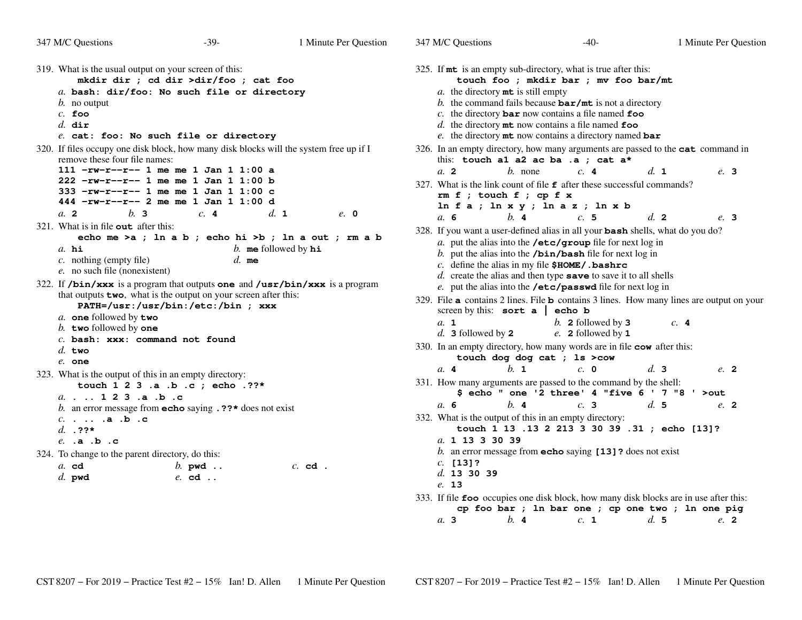347 M/C Questions

*a.* **3**

319. What is the usual output on your screen of this: **mkdir dir ; cd dir >dir/foo ; cat foo** *a.* **bash: dir/foo: No such file or directory***b.* no output*c.* **foo** *d.* **dir** *e.* **cat: foo: No such file or directory** 320. If files occupy one disk block, how many disk blocks will the system free up if I remove these four file names: **111 -rw-r--r-- 1 me me 1 Jan 1 1:00 a 222 -rw-r--r-- 1 me me 1 Jan 1 1:00 b 333 -rw-r--r-- 1 me me 1 Jan 1 1:00 c 444 -rw-r--r-- 2 me me 1 Jan 1 1:00 d** $d_{\mathbf{1}}$ *a.* **<sup>2</sup>** *b.* **<sup>3</sup>** *c.* **<sup>4</sup>** *d.* **<sup>1</sup>** *e.* **<sup>0</sup>** 321. What is in file **out** after this: **echo me >a ; ln a b ; echo hi >b ; ln a out ; rm a b***a.* **hi** *b.* **me** followed by **hi** *c.* nothing (empty file) *d.* **me***e.* no such file (nonexistent)322. If **/bin/xxx** is a program that outputs **one** and **/usr/bin/xxx** is a programthat outputs **two**, what is the output on your screen after this: **PATH=/usr:/usr/bin:/etc:/bin ; xxx***a.* **one** followed by **two** *b.* **two** followed by **one** *c.* **bash: xxx: command not found***d.* **two** *e.* **one** 323. What is the output of this in an empty directory: **touch 1 2 3 .a .b .c ; echo .??\****a.* **. .. <sup>1</sup> <sup>2</sup> <sup>3</sup> .a .b .c** *b.* an error message from **echo** saying **.??\*** does not exist *c.* **. .. .a .b .c** *d.* **.??\*** *e.* **.a .b .c** 324. To change to the parent directory, do this:*a.* **cd** *b.* **pwd ..** *c.* **cd .** *d.* **pwd** *e.* **cd ..**  $32$ *a.b.c.d.e.*32 this:*a.* **<sup>2</sup>** $32$ *a.* $32$ *a.b.c.d.e.* $32$ *a.d.* $33$ *a.* **<sup>4</sup>***a.* $33$ *a.b.c.d.e.* $33$ 

| 325. If <b>mt</b> is an empty sub-directory, what is true after this:                                                           |
|---------------------------------------------------------------------------------------------------------------------------------|
| touch foo ; mkdir bar ; mv foo bar/mt                                                                                           |
| a. the directory mt is still empty<br>b. the command fails because $bar/mt$ is not a directory                                  |
| c. the directory $\texttt{bar}$ now contains a file named $\texttt{foo}$                                                        |
| d. the directory $m$ t now contains a file named foo                                                                            |
| e. the directory mt now contains a directory named bar                                                                          |
| 326. In an empty directory, how many arguments are passed to the <b>cat</b> command in                                          |
| this: touch al a2 ac ba .a ; cat a*                                                                                             |
| d. 1<br>a. 2<br><i>b</i> . none<br>c.4<br>e. 3                                                                                  |
| 327. What is the link count of file f after these successful commands?                                                          |
| $rm f$ ; touch $f$ ; cp $f$ x                                                                                                   |
| $\ln f a ; \ln x y ; \ln a z ; \ln x b$                                                                                         |
| $h$ . 4<br>c.5<br>d <sub>z</sub><br>a. 6<br>e. 3                                                                                |
| 328. If you want a user-defined alias in all your <b>bash</b> shells, what do you do?                                           |
| a. put the alias into the /etc/group file for next $log in$                                                                     |
| b. put the alias into the $/bin/bash$ file for next log in                                                                      |
| c. define the alias in my file $$HOME/$ . bashrc                                                                                |
| $d.$ create the alias and then type save to save it to all shells<br>e. put the alias into the /etc/passwd file for next log in |
| 329. File a contains 2 lines. File b contains 3 lines. How many lines are output on your                                        |
| screen by this: sort $a \mid$ echo b                                                                                            |
| a. 1<br>b. 2 followed by $3$<br>c.4                                                                                             |
| d. 3 followed by $2$<br>e. 2 followed by 1                                                                                      |
| 330. In an empty directory, how many words are in file cow after this:                                                          |
| touch dog dog cat ; 1s >cow<br>$h_{\perp}$ 1<br>d.3<br>$c. \; \; \mathbf{0}$<br>a.4<br>e. 2                                     |
|                                                                                                                                 |
| 331. How many arguments are passed to the command by the shell:<br>\$ echo " one '2 three' 4 "five $6$ ' 7 "8 ' >out            |
| $h$ . 4<br>d.5<br>c.3<br>a. 6<br>e. 2                                                                                           |
| 332. What is the output of this in an empty directory:                                                                          |
| touch 1 13 .13 2 213 3 30 39 .31 ; echo [13]?                                                                                   |
| a. 1 13 3 30 39                                                                                                                 |
| b. an error message from $echo$ saying $[13]$ ? does not exist                                                                  |
| $c.$ [13]?                                                                                                                      |
| d. 13 30 39                                                                                                                     |
| e. 13                                                                                                                           |
| 333. If file foo occupies one disk block, how many disk blocks are in use after this:                                           |
| cp foo bar ; ln bar one ; cp one two ; ln one pig                                                                               |
| b 4 c 1 d 5 e 2<br>a <sub>3</sub>                                                                                               |